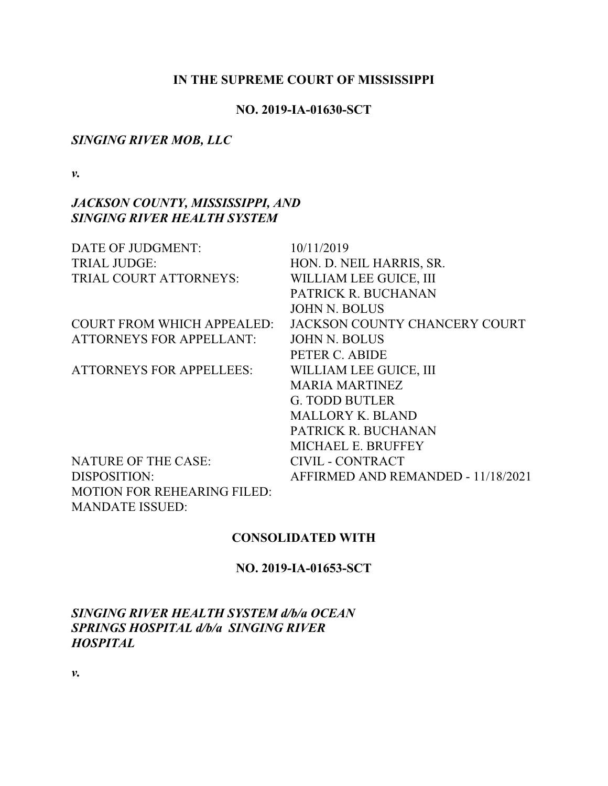#### **IN THE SUPREME COURT OF MISSISSIPPI**

#### **NO. 2019-IA-01630-SCT**

#### *SINGING RIVER MOB, LLC*

*v.*

# *JACKSON COUNTY, MISSISSIPPI, AND SINGING RIVER HEALTH SYSTEM*

| DATE OF JUDGMENT:                  | 10/11/2019                         |
|------------------------------------|------------------------------------|
| <b>TRIAL JUDGE:</b>                | HON. D. NEIL HARRIS, SR.           |
| TRIAL COURT ATTORNEYS:             | WILLIAM LEE GUICE, III             |
|                                    | PATRICK R. BUCHANAN                |
|                                    | <b>JOHN N. BOLUS</b>               |
| <b>COURT FROM WHICH APPEALED:</b>  | JACKSON COUNTY CHANCERY COURT      |
| <b>ATTORNEYS FOR APPELLANT:</b>    | <b>JOHN N. BOLUS</b>               |
|                                    | PETER C. ABIDE                     |
| <b>ATTORNEYS FOR APPELLEES:</b>    | WILLIAM LEE GUICE, III             |
|                                    | <b>MARIA MARTINEZ</b>              |
|                                    | <b>G. TODD BUTLER</b>              |
|                                    | <b>MALLORY K. BLAND</b>            |
|                                    | PATRICK R. BUCHANAN                |
|                                    | <b>MICHAEL E. BRUFFEY</b>          |
| <b>NATURE OF THE CASE:</b>         | <b>CIVIL - CONTRACT</b>            |
| DISPOSITION:                       | AFFIRMED AND REMANDED - 11/18/2021 |
| <b>MOTION FOR REHEARING FILED:</b> |                                    |
| <b>MANDATE ISSUED:</b>             |                                    |

### **CONSOLIDATED WITH**

### **NO. 2019-IA-01653-SCT**

*SINGING RIVER HEALTH SYSTEM d/b/a OCEAN SPRINGS HOSPITAL d/b/a SINGING RIVER HOSPITAL* 

*v.*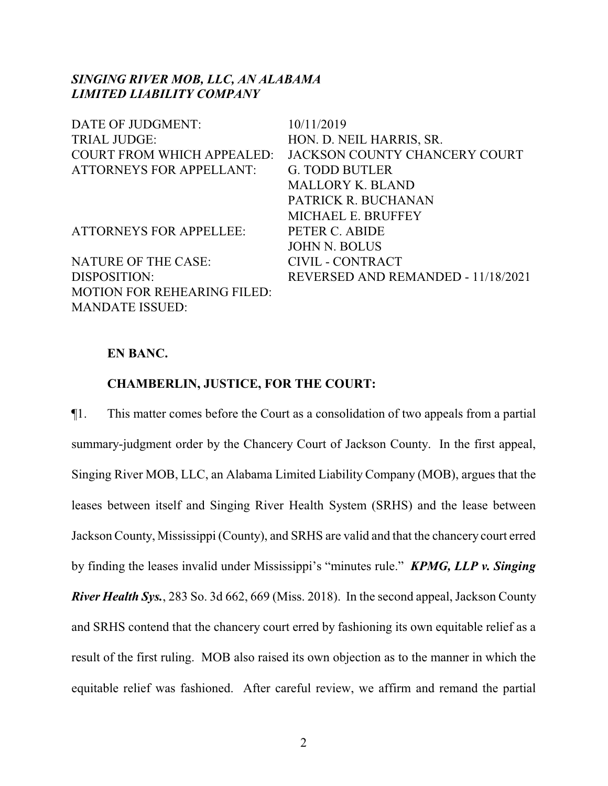### *SINGING RIVER MOB, LLC, AN ALABAMA LIMITED LIABILITY COMPANY*

| DATE OF JUDGMENT:                  | 10/11/2019                         |
|------------------------------------|------------------------------------|
| <b>TRIAL JUDGE:</b>                | HON. D. NEIL HARRIS, SR.           |
| <b>COURT FROM WHICH APPEALED:</b>  | JACKSON COUNTY CHANCERY COURT      |
| <b>ATTORNEYS FOR APPELLANT:</b>    | <b>G. TODD BUTLER</b>              |
|                                    | <b>MALLORY K. BLAND</b>            |
|                                    | PATRICK R. BUCHANAN                |
|                                    | MICHAEL E. BRUFFEY                 |
| <b>ATTORNEYS FOR APPELLEE:</b>     | PETER C. ABIDE                     |
|                                    | <b>JOHN N. BOLUS</b>               |
| <b>NATURE OF THE CASE:</b>         | CIVIL - CONTRACT                   |
| DISPOSITION:                       | REVERSED AND REMANDED - 11/18/2021 |
| <b>MOTION FOR REHEARING FILED:</b> |                                    |
| <b>MANDATE ISSUED:</b>             |                                    |

#### **EN BANC.**

### **CHAMBERLIN, JUSTICE, FOR THE COURT:**

¶1. This matter comes before the Court as a consolidation of two appeals from a partial summary-judgment order by the Chancery Court of Jackson County. In the first appeal, Singing River MOB, LLC, an Alabama Limited Liability Company (MOB), argues that the leases between itself and Singing River Health System (SRHS) and the lease between Jackson County, Mississippi (County), and SRHS are valid and that the chancery court erred by finding the leases invalid under Mississippi's "minutes rule." *KPMG, LLP v. Singing River Health Sys.*, 283 So. 3d 662, 669 (Miss. 2018). In the second appeal, Jackson County and SRHS contend that the chancery court erred by fashioning its own equitable relief as a result of the first ruling. MOB also raised its own objection as to the manner in which the equitable relief was fashioned. After careful review, we affirm and remand the partial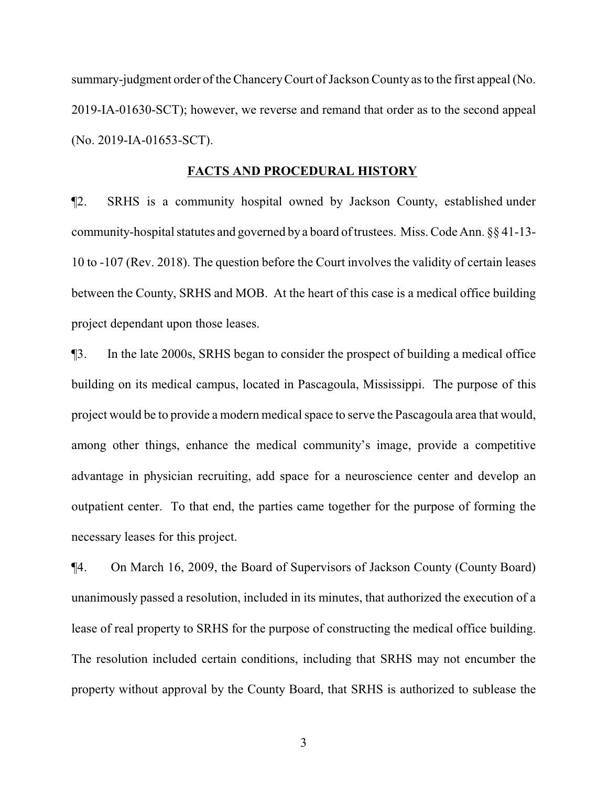summary-judgment order of the Chancery Court of Jackson County as to the first appeal (No. 2019-IA-01630-SCT); however, we reverse and remand that order as to the second appeal (No. 2019-IA-01653-SCT).

#### **FACTS AND PROCEDURAL HISTORY**

¶2. SRHS is a community hospital owned by Jackson County, established under community-hospital statutes and governed by a board of trustees. Miss. Code Ann.  $\S$ § 41-13-10 to -107 (Rev. 2018). The question before the Court involves the validity of certain leases between the County, SRHS and MOB. At the heart of this case is a medical office building project dependant upon those leases.

¶3. In the late 2000s, SRHS began to consider the prospect of building a medical office building on its medical campus, located in Pascagoula, Mississippi. The purpose of this project would be to provide a modern medical space to serve the Pascagoula area that would, among other things, enhance the medical community's image, provide a competitive advantage in physician recruiting, add space for a neuroscience center and develop an outpatient center. To that end, the parties came together for the purpose of forming the necessary leases for this project.

¶4. On March 16, 2009, the Board of Supervisors of Jackson County (County Board) unanimously passed a resolution, included in its minutes, that authorized the execution of a lease of real property to SRHS for the purpose of constructing the medical office building. The resolution included certain conditions, including that SRHS may not encumber the property without approval by the County Board, that SRHS is authorized to sublease the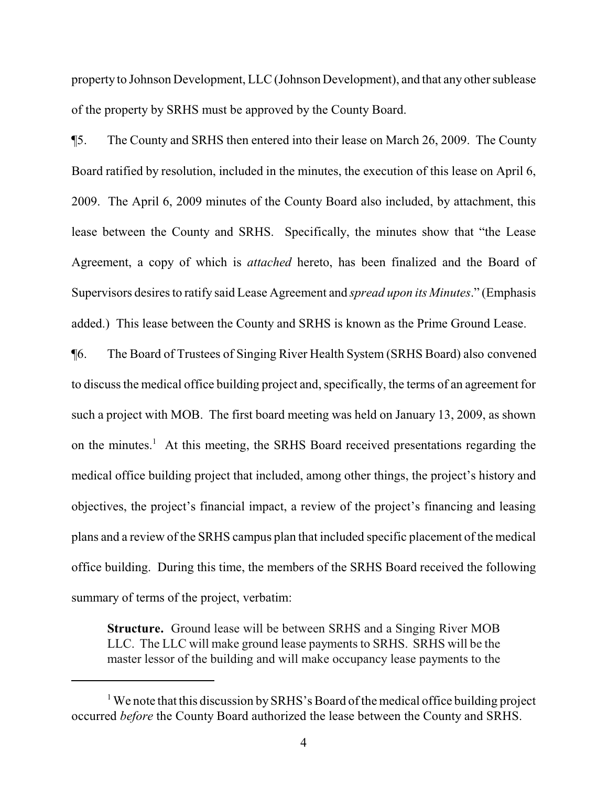property to Johnson Development, LLC (Johnson Development), and that any other sublease of the property by SRHS must be approved by the County Board.

¶5. The County and SRHS then entered into their lease on March 26, 2009. The County Board ratified by resolution, included in the minutes, the execution of this lease on April 6, 2009. The April 6, 2009 minutes of the County Board also included, by attachment, this lease between the County and SRHS. Specifically, the minutes show that "the Lease Agreement, a copy of which is *attached* hereto, has been finalized and the Board of Supervisors desires to ratify said Lease Agreement and *spread upon its Minutes*." (Emphasis added.) This lease between the County and SRHS is known as the Prime Ground Lease.

¶6. The Board of Trustees of Singing River Health System (SRHS Board) also convened to discuss the medical office building project and, specifically, the terms of an agreement for such a project with MOB. The first board meeting was held on January 13, 2009, as shown on the minutes.<sup>1</sup> At this meeting, the SRHS Board received presentations regarding the medical office building project that included, among other things, the project's history and objectives, the project's financial impact, a review of the project's financing and leasing plans and a review of the SRHS campus plan that included specific placement of the medical office building. During this time, the members of the SRHS Board received the following summary of terms of the project, verbatim:

**Structure.** Ground lease will be between SRHS and a Singing River MOB LLC. The LLC will make ground lease payments to SRHS. SRHS will be the master lessor of the building and will make occupancy lease payments to the

<sup>&</sup>lt;sup>1</sup> We note that this discussion by SRHS's Board of the medical office building project occurred *before* the County Board authorized the lease between the County and SRHS.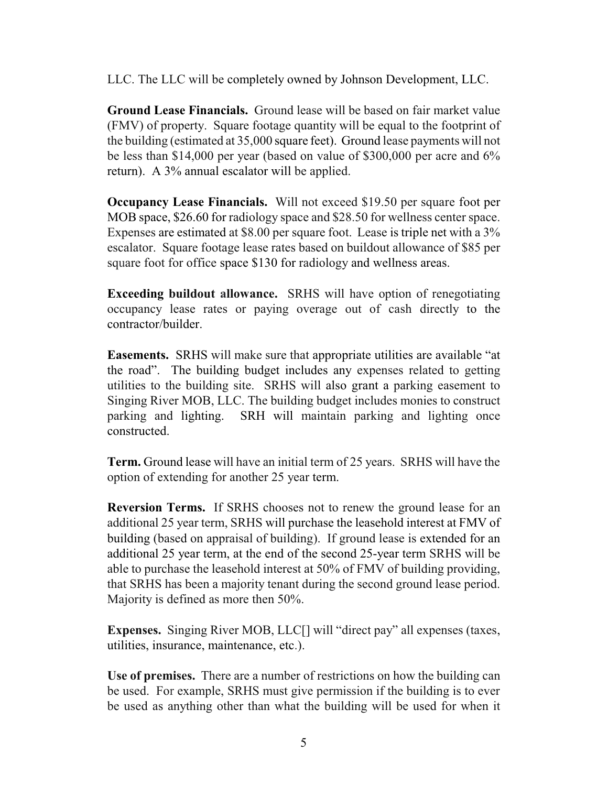LLC. The LLC will be completely owned by Johnson Development, LLC.

**Ground Lease Financials.** Ground lease will be based on fair market value (FMV) of property. Square footage quantity will be equal to the footprint of the building (estimated at 35,000 square feet). Ground lease payments will not be less than \$14,000 per year (based on value of \$300,000 per acre and 6% return). A 3% annual escalator will be applied.

**Occupancy Lease Financials.** Will not exceed \$19.50 per square foot per MOB space, \$26.60 for radiology space and \$28.50 for wellness center space. Expenses are estimated at \$8.00 per square foot. Lease is triple net with a 3% escalator. Square footage lease rates based on buildout allowance of \$85 per square foot for office space \$130 for radiology and wellness areas.

**Exceeding buildout allowance.** SRHS will have option of renegotiating occupancy lease rates or paying overage out of cash directly to the contractor/builder.

**Easements.** SRHS will make sure that appropriate utilities are available "at the road". The building budget includes any expenses related to getting utilities to the building site. SRHS will also grant a parking easement to Singing River MOB, LLC. The building budget includes monies to construct parking and lighting. SRH will maintain parking and lighting once constructed.

**Term.** Ground lease will have an initial term of 25 years. SRHS will have the option of extending for another 25 year term.

**Reversion Terms.** If SRHS chooses not to renew the ground lease for an additional 25 year term, SRHS will purchase the leasehold interest at FMV of building (based on appraisal of building). If ground lease is extended for an additional 25 year term, at the end of the second 25-year term SRHS will be able to purchase the leasehold interest at 50% of FMV of building providing, that SRHS has been a majority tenant during the second ground lease period. Majority is defined as more then 50%.

**Expenses.** Singing River MOB, LLC[] will "direct pay" all expenses (taxes, utilities, insurance, maintenance, etc.).

**Use of premises.** There are a number of restrictions on how the building can be used. For example, SRHS must give permission if the building is to ever be used as anything other than what the building will be used for when it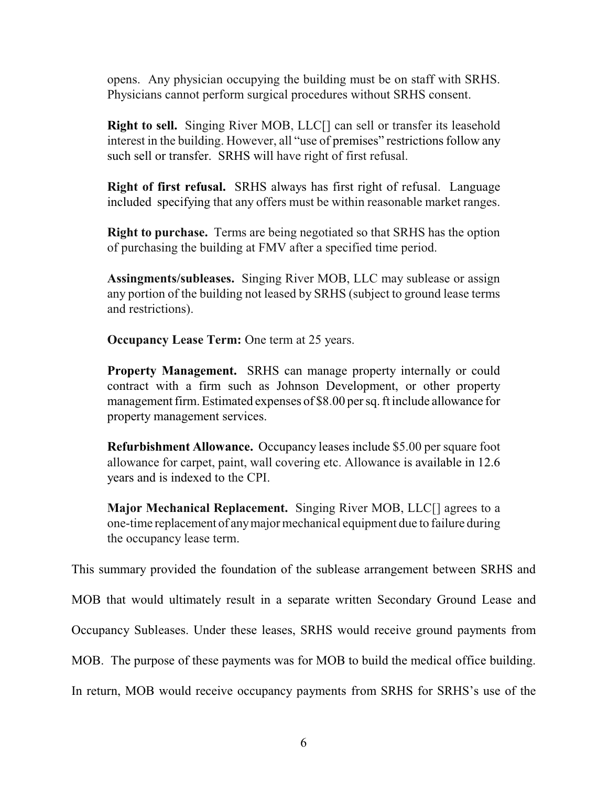opens. Any physician occupying the building must be on staff with SRHS. Physicians cannot perform surgical procedures without SRHS consent.

**Right to sell.** Singing River MOB, LLC[] can sell or transfer its leasehold interest in the building. However, all "use of premises" restrictions follow any such sell or transfer. SRHS will have right of first refusal.

**Right of first refusal.** SRHS always has first right of refusal. Language included specifying that any offers must be within reasonable market ranges.

**Right to purchase.** Terms are being negotiated so that SRHS has the option of purchasing the building at FMV after a specified time period.

**Assingments/subleases.** Singing River MOB, LLC may sublease or assign any portion of the building not leased by SRHS (subject to ground lease terms and restrictions).

**Occupancy Lease Term:** One term at 25 years.

**Property Management.** SRHS can manage property internally or could contract with a firm such as Johnson Development, or other property management firm. Estimated expenses of \$8.00 per sq. ft include allowance for property management services.

**Refurbishment Allowance.** Occupancy leases include \$5.00 per square foot allowance for carpet, paint, wall covering etc. Allowance is available in 12.6 years and is indexed to the CPI.

**Major Mechanical Replacement.** Singing River MOB, LLC[] agrees to a one-time replacement of anymajor mechanical equipment due to failure during the occupancy lease term.

This summary provided the foundation of the sublease arrangement between SRHS and

MOB that would ultimately result in a separate written Secondary Ground Lease and

Occupancy Subleases. Under these leases, SRHS would receive ground payments from

MOB. The purpose of these payments was for MOB to build the medical office building.

In return, MOB would receive occupancy payments from SRHS for SRHS's use of the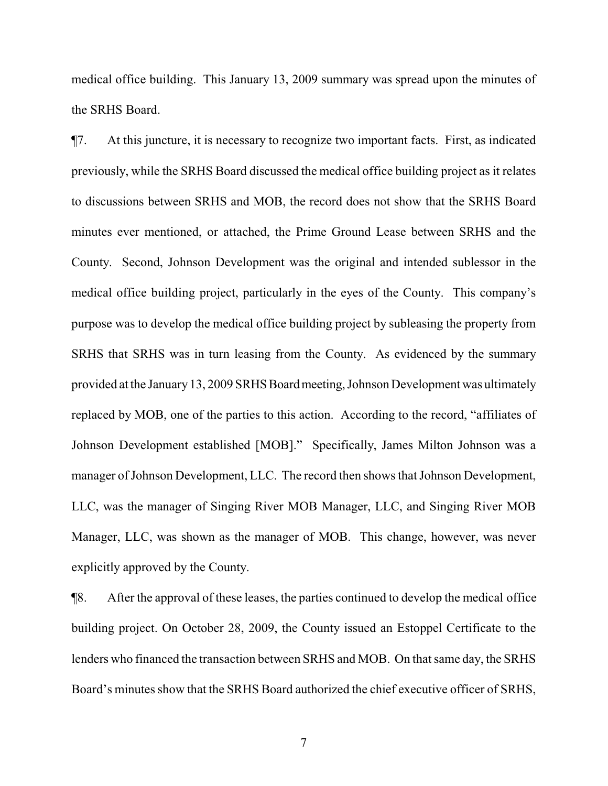medical office building. This January 13, 2009 summary was spread upon the minutes of the SRHS Board.

¶7. At this juncture, it is necessary to recognize two important facts. First, as indicated previously, while the SRHS Board discussed the medical office building project as it relates to discussions between SRHS and MOB, the record does not show that the SRHS Board minutes ever mentioned, or attached, the Prime Ground Lease between SRHS and the County. Second, Johnson Development was the original and intended sublessor in the medical office building project, particularly in the eyes of the County. This company's purpose was to develop the medical office building project by subleasing the property from SRHS that SRHS was in turn leasing from the County. As evidenced by the summary provided at the January 13, 2009 SRHS Board meeting, Johnson Development was ultimately replaced by MOB, one of the parties to this action. According to the record, "affiliates of Johnson Development established [MOB]." Specifically, James Milton Johnson was a manager of Johnson Development, LLC. The record then shows that Johnson Development, LLC, was the manager of Singing River MOB Manager, LLC, and Singing River MOB Manager, LLC, was shown as the manager of MOB. This change, however, was never explicitly approved by the County.

¶8. After the approval of these leases, the parties continued to develop the medical office building project. On October 28, 2009, the County issued an Estoppel Certificate to the lenders who financed the transaction between SRHS and MOB. On that same day, the SRHS Board's minutes show that the SRHS Board authorized the chief executive officer of SRHS,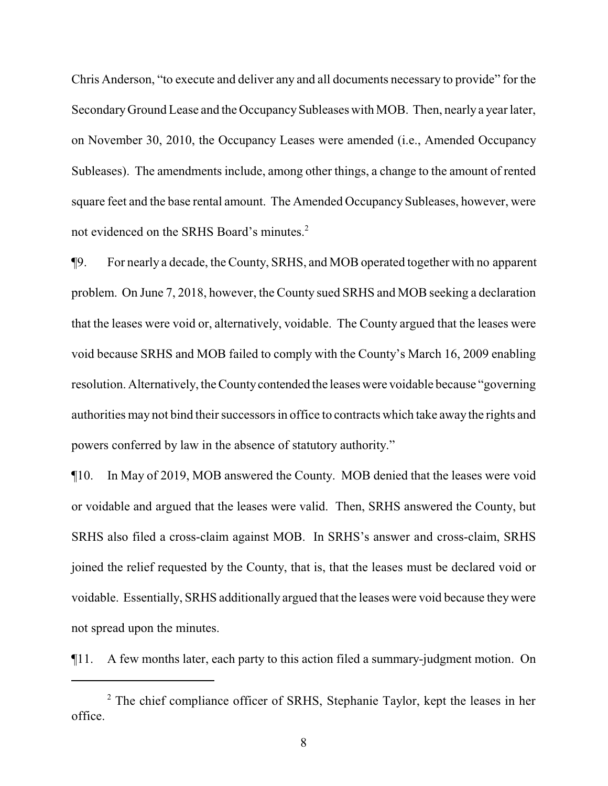Chris Anderson, "to execute and deliver any and all documents necessary to provide" for the SecondaryGround Lease and the OccupancySubleases with MOB. Then, nearly a year later, on November 30, 2010, the Occupancy Leases were amended (i.e., Amended Occupancy Subleases). The amendments include, among other things, a change to the amount of rented square feet and the base rental amount. The Amended Occupancy Subleases, however, were not evidenced on the SRHS Board's minutes.<sup>2</sup>

¶9. For nearly a decade, the County, SRHS, and MOB operated together with no apparent problem. On June 7, 2018, however, the County sued SRHS and MOB seeking a declaration that the leases were void or, alternatively, voidable. The County argued that the leases were void because SRHS and MOB failed to comply with the County's March 16, 2009 enabling resolution. Alternatively, the County contended the leases were voidable because "governing" authorities may not bind their successors in office to contracts which take away the rights and powers conferred by law in the absence of statutory authority."

¶10. In May of 2019, MOB answered the County. MOB denied that the leases were void or voidable and argued that the leases were valid. Then, SRHS answered the County, but SRHS also filed a cross-claim against MOB. In SRHS's answer and cross-claim, SRHS joined the relief requested by the County, that is, that the leases must be declared void or voidable. Essentially, SRHS additionally argued that the leases were void because theywere not spread upon the minutes.

¶11. A few months later, each party to this action filed a summary-judgment motion. On

<sup>&</sup>lt;sup>2</sup> The chief compliance officer of SRHS, Stephanie Taylor, kept the leases in her office.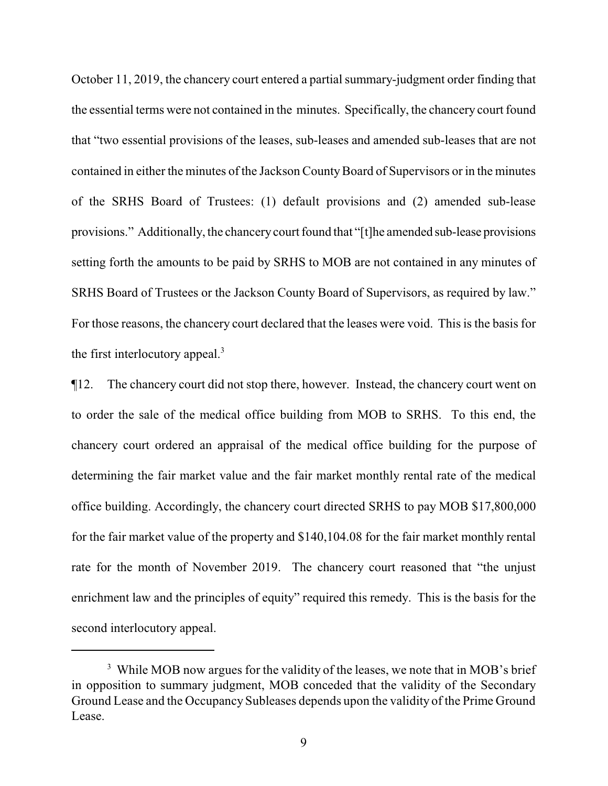October 11, 2019, the chancery court entered a partial summary-judgment order finding that the essential terms were not contained in the minutes. Specifically, the chancery court found that "two essential provisions of the leases, sub-leases and amended sub-leases that are not contained in either the minutes of the Jackson CountyBoard of Supervisors or in the minutes of the SRHS Board of Trustees: (1) default provisions and (2) amended sub-lease provisions." Additionally, the chancerycourt found that "[t]he amended sub-lease provisions setting forth the amounts to be paid by SRHS to MOB are not contained in any minutes of SRHS Board of Trustees or the Jackson County Board of Supervisors, as required by law." For those reasons, the chancery court declared that the leases were void. This is the basis for the first interlocutory appeal. $3$ 

¶12. The chancery court did not stop there, however. Instead, the chancery court went on to order the sale of the medical office building from MOB to SRHS. To this end, the chancery court ordered an appraisal of the medical office building for the purpose of determining the fair market value and the fair market monthly rental rate of the medical office building. Accordingly, the chancery court directed SRHS to pay MOB \$17,800,000 for the fair market value of the property and \$140,104.08 for the fair market monthly rental rate for the month of November 2019. The chancery court reasoned that "the unjust enrichment law and the principles of equity" required this remedy. This is the basis for the second interlocutory appeal.

<sup>&</sup>lt;sup>3</sup> While MOB now argues for the validity of the leases, we note that in MOB's brief in opposition to summary judgment, MOB conceded that the validity of the Secondary Ground Lease and the Occupancy Subleases depends upon the validity of the Prime Ground Lease.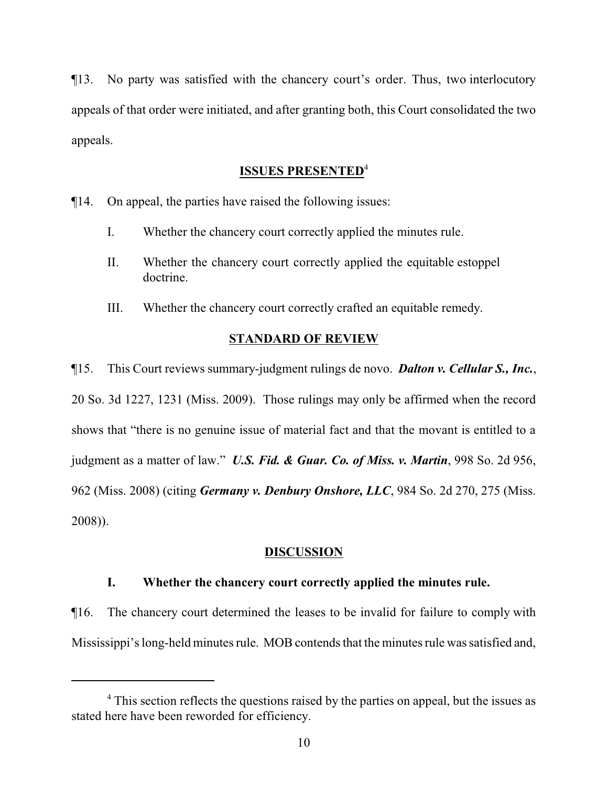¶13. No party was satisfied with the chancery court's order. Thus, two interlocutory appeals of that order were initiated, and after granting both, this Court consolidated the two appeals.

### **ISSUES PRESENTED**<sup>4</sup>

¶14. On appeal, the parties have raised the following issues:

- I. Whether the chancery court correctly applied the minutes rule.
- II. Whether the chancery court correctly applied the equitable estoppel doctrine.
- III. Whether the chancery court correctly crafted an equitable remedy.

# **STANDARD OF REVIEW**

¶15. This Court reviews summary-judgment rulings de novo. *Dalton v. Cellular S., Inc.*, 20 So. 3d 1227, 1231 (Miss. 2009). Those rulings may only be affirmed when the record shows that "there is no genuine issue of material fact and that the movant is entitled to a judgment as a matter of law." *U.S. Fid. & Guar. Co. of Miss. v. Martin*, 998 So. 2d 956, 962 (Miss. 2008) (citing *Germany v. Denbury Onshore, LLC*, 984 So. 2d 270, 275 (Miss. 2008)).

# **DISCUSSION**

# **I. Whether the chancery court correctly applied the minutes rule.**

¶16. The chancery court determined the leases to be invalid for failure to comply with Mississippi's long-held minutes rule. MOB contends that the minutes rule wassatisfied and,

<sup>&</sup>lt;sup>4</sup> This section reflects the questions raised by the parties on appeal, but the issues as stated here have been reworded for efficiency.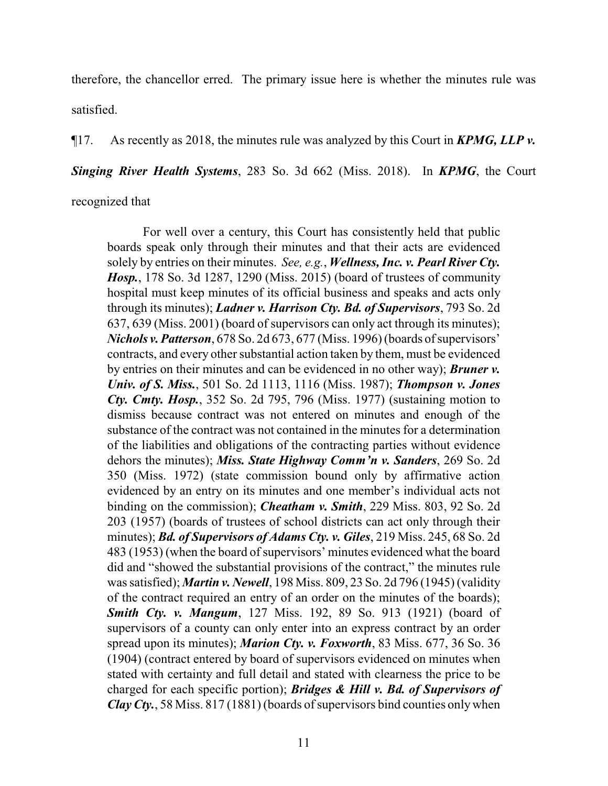therefore, the chancellor erred. The primary issue here is whether the minutes rule was satisfied.

¶17. As recently as 2018, the minutes rule was analyzed by this Court in *KPMG, LLP v.*

*Singing River Health Systems*, 283 So. 3d 662 (Miss. 2018). In *KPMG*, the Court

recognized that

For well over a century, this Court has consistently held that public boards speak only through their minutes and that their acts are evidenced solely by entries on their minutes. *See, e.g.*, *Wellness, Inc. v. Pearl River Cty. Hosp.*, 178 So. 3d 1287, 1290 (Miss. 2015) (board of trustees of community hospital must keep minutes of its official business and speaks and acts only through its minutes); *Ladner v. Harrison Cty. Bd. of Supervisors*, 793 So. 2d 637, 639 (Miss. 2001) (board of supervisors can only act through its minutes); *Nichols v. Patterson*, 678 So. 2d 673, 677 (Miss. 1996) (boards of supervisors' contracts, and every other substantial action taken by them, must be evidenced by entries on their minutes and can be evidenced in no other way); *Bruner v. Univ. of S. Miss.*, 501 So. 2d 1113, 1116 (Miss. 1987); *Thompson v. Jones Cty. Cmty. Hosp.*, 352 So. 2d 795, 796 (Miss. 1977) (sustaining motion to dismiss because contract was not entered on minutes and enough of the substance of the contract was not contained in the minutes for a determination of the liabilities and obligations of the contracting parties without evidence dehors the minutes); *Miss. State Highway Comm'n v. Sanders*, 269 So. 2d 350 (Miss. 1972) (state commission bound only by affirmative action evidenced by an entry on its minutes and one member's individual acts not binding on the commission); *Cheatham v. Smith*, 229 Miss. 803, 92 So. 2d 203 (1957) (boards of trustees of school districts can act only through their minutes); *Bd. of Supervisors of Adams Cty. v. Giles*, 219 Miss. 245, 68 So. 2d 483 (1953) (when the board of supervisors' minutes evidenced what the board did and "showed the substantial provisions of the contract," the minutes rule was satisfied); *Martin v. Newell*, 198 Miss. 809, 23 So. 2d 796 (1945) (validity of the contract required an entry of an order on the minutes of the boards); *Smith Cty. v. Mangum*, 127 Miss. 192, 89 So. 913 (1921) (board of supervisors of a county can only enter into an express contract by an order spread upon its minutes); *Marion Cty. v. Foxworth*, 83 Miss. 677, 36 So. 36 (1904) (contract entered by board of supervisors evidenced on minutes when stated with certainty and full detail and stated with clearness the price to be charged for each specific portion); *Bridges & Hill v. Bd. of Supervisors of Clay Cty.*, 58 Miss.  $817(1881)$  (boards of supervisors bind counties only when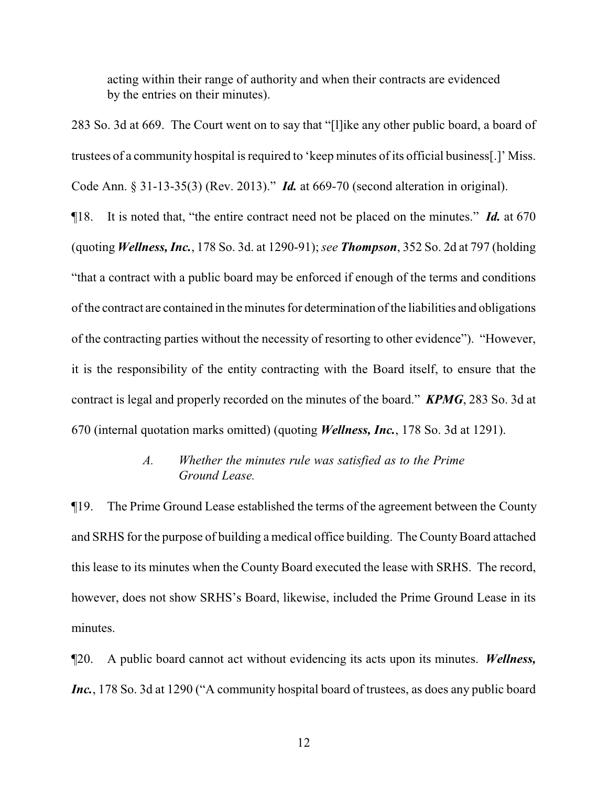acting within their range of authority and when their contracts are evidenced by the entries on their minutes).

283 So. 3d at 669. The Court went on to say that "[l]ike any other public board, a board of trustees of a community hospital is required to 'keep minutes of its official business[.]' Miss. Code Ann. § 31-13-35(3) (Rev. 2013)." *Id.* at 669-70 (second alteration in original).

¶18. It is noted that, "the entire contract need not be placed on the minutes." *Id.* at 670 (quoting *Wellness, Inc.*, 178 So. 3d. at 1290-91); *see Thompson*, 352 So. 2d at 797 (holding "that a contract with a public board may be enforced if enough of the terms and conditions of the contract are contained in the minutes for determination of the liabilities and obligations of the contracting parties without the necessity of resorting to other evidence"). "However, it is the responsibility of the entity contracting with the Board itself, to ensure that the contract is legal and properly recorded on the minutes of the board." *KPMG*, 283 So. 3d at 670 (internal quotation marks omitted) (quoting *Wellness, Inc.*, 178 So. 3d at 1291).

## *A. Whether the minutes rule was satisfied as to the Prime Ground Lease.*

¶19. The Prime Ground Lease established the terms of the agreement between the County and SRHS for the purpose of building a medical office building. The CountyBoard attached this lease to its minutes when the County Board executed the lease with SRHS. The record, however, does not show SRHS's Board, likewise, included the Prime Ground Lease in its minutes.

¶20. A public board cannot act without evidencing its acts upon its minutes. *Wellness, Inc.*, 178 So. 3d at 1290 ("A community hospital board of trustees, as does any public board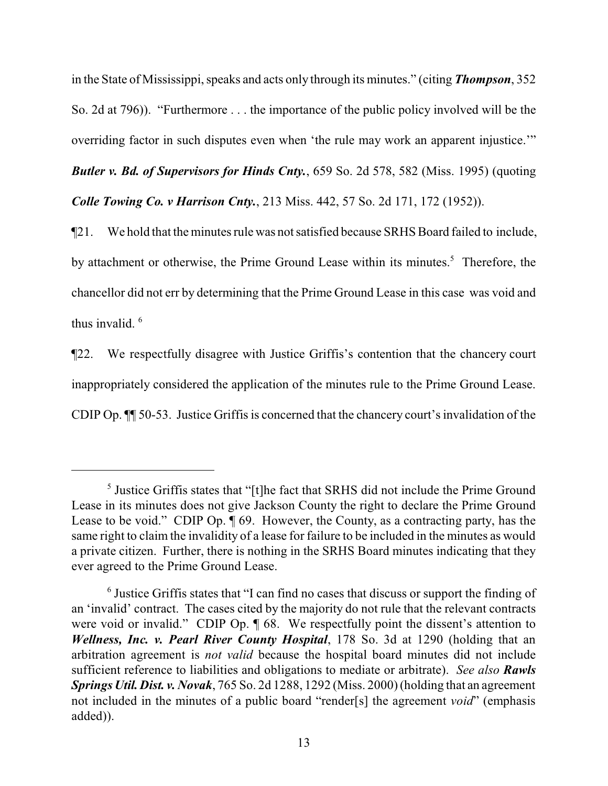in the State of Mississippi, speaks and acts only through its minutes." (citing *Thompson*, 352 So. 2d at 796)). "Furthermore . . . the importance of the public policy involved will be the overriding factor in such disputes even when 'the rule may work an apparent injustice.'"

*Butler v. Bd. of Supervisors for Hinds Cnty.*, 659 So. 2d 578, 582 (Miss. 1995) (quoting *Colle Towing Co. v Harrison Cnty.*, 213 Miss. 442, 57 So. 2d 171, 172 (1952)).

¶21. We hold that the minutes rule was not satisfied because SRHS Board failed to include, by attachment or otherwise, the Prime Ground Lease within its minutes.<sup>5</sup> Therefore, the chancellor did not err by determining that the Prime Ground Lease in this case was void and thus invalid. <sup>6</sup>

¶22. We respectfully disagree with Justice Griffis's contention that the chancery court inappropriately considered the application of the minutes rule to the Prime Ground Lease. CDIP Op. ¶¶ 50-53. Justice Griffis is concerned that the chancery court's invalidation of the

<sup>&</sup>lt;sup>5</sup> Justice Griffis states that "[t]he fact that SRHS did not include the Prime Ground Lease in its minutes does not give Jackson County the right to declare the Prime Ground Lease to be void." CDIP Op. ¶ 69. However, the County, as a contracting party, has the same right to claim the invalidity of a lease for failure to be included in the minutes as would a private citizen. Further, there is nothing in the SRHS Board minutes indicating that they ever agreed to the Prime Ground Lease.

<sup>&</sup>lt;sup>6</sup> Justice Griffis states that "I can find no cases that discuss or support the finding of an 'invalid' contract. The cases cited by the majority do not rule that the relevant contracts were void or invalid." CDIP Op.  $\P$  68. We respectfully point the dissent's attention to *Wellness, Inc. v. Pearl River County Hospital*, 178 So. 3d at 1290 (holding that an arbitration agreement is *not valid* because the hospital board minutes did not include sufficient reference to liabilities and obligations to mediate or arbitrate). *See also Rawls SpringsUtil. Dist. v. Novak*, 765 So. 2d 1288, 1292 (Miss. 2000) (holding that an agreement not included in the minutes of a public board "render[s] the agreement *void*" (emphasis added)).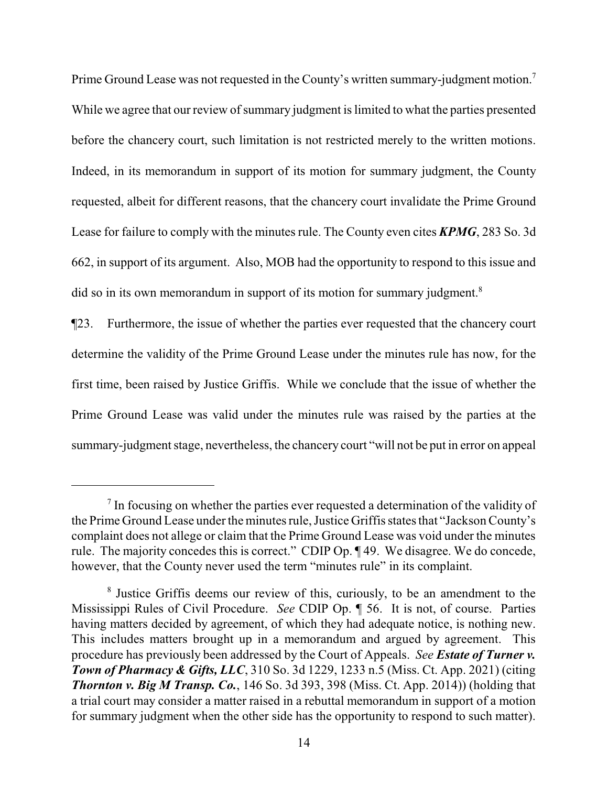Prime Ground Lease was not requested in the County's written summary-judgment motion.<sup>7</sup> While we agree that our review of summary judgment is limited to what the parties presented before the chancery court, such limitation is not restricted merely to the written motions. Indeed, in its memorandum in support of its motion for summary judgment, the County requested, albeit for different reasons, that the chancery court invalidate the Prime Ground Lease for failure to comply with the minutes rule. The County even cites *KPMG*, 283 So. 3d 662, in support of its argument. Also, MOB had the opportunity to respond to this issue and did so in its own memorandum in support of its motion for summary judgment.<sup>8</sup>

¶23. Furthermore, the issue of whether the parties ever requested that the chancery court determine the validity of the Prime Ground Lease under the minutes rule has now, for the first time, been raised by Justice Griffis. While we conclude that the issue of whether the Prime Ground Lease was valid under the minutes rule was raised by the parties at the summary-judgment stage, nevertheless, the chancery court "will not be put in error on appeal

<sup>&</sup>lt;sup>7</sup> In focusing on whether the parties ever requested a determination of the validity of the Prime Ground Lease under the minutes rule, Justice Griffis states that "JacksonCounty's complaint does not allege or claim that the Prime Ground Lease was void under the minutes rule. The majority concedes this is correct." CDIP Op. ¶ 49. We disagree. We do concede, however, that the County never used the term "minutes rule" in its complaint.

<sup>&</sup>lt;sup>8</sup> Justice Griffis deems our review of this, curiously, to be an amendment to the Mississippi Rules of Civil Procedure. *See* CDIP Op. ¶ 56. It is not, of course. Parties having matters decided by agreement, of which they had adequate notice, is nothing new. This includes matters brought up in a memorandum and argued by agreement. This procedure has previously been addressed by the Court of Appeals. *See Estate of Turner v. Town of Pharmacy & Gifts, LLC*, 310 So. 3d 1229, 1233 n.5 (Miss. Ct. App. 2021) (citing *Thornton v. Big M Transp. Co.*, 146 So. 3d 393, 398 (Miss. Ct. App. 2014)) (holding that a trial court may consider a matter raised in a rebuttal memorandum in support of a motion for summary judgment when the other side has the opportunity to respond to such matter).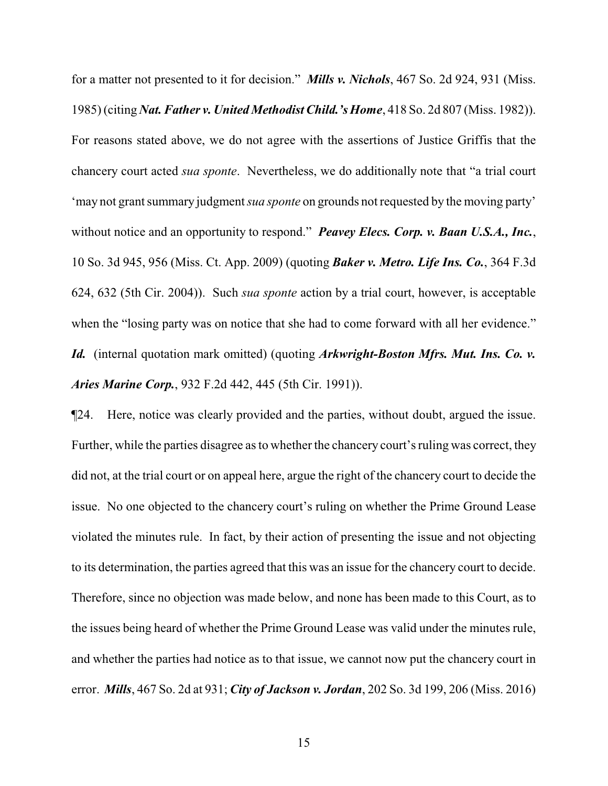for a matter not presented to it for decision." *Mills v. Nichols*, 467 So. 2d 924, 931 (Miss. 1985) (citing *Nat. Father v. United Methodist Child.'s Home*, 418 So. 2d 807 (Miss. 1982)). For reasons stated above, we do not agree with the assertions of Justice Griffis that the chancery court acted *sua sponte*. Nevertheless, we do additionally note that "a trial court 'may not grant summary judgment *sua sponte* on grounds not requested by the moving party' without notice and an opportunity to respond." *Peavey Elecs. Corp. v. Baan U.S.A., Inc.*, 10 So. 3d 945, 956 (Miss. Ct. App. 2009) (quoting *Baker v. Metro. Life Ins. Co.*, 364 F.3d 624, 632 (5th Cir. 2004)). Such *sua sponte* action by a trial court, however, is acceptable when the "losing party was on notice that she had to come forward with all her evidence." *Id.* (internal quotation mark omitted) (quoting *Arkwright-Boston Mfrs. Mut. Ins. Co. v. Aries Marine Corp.*, 932 F.2d 442, 445 (5th Cir. 1991)).

¶24. Here, notice was clearly provided and the parties, without doubt, argued the issue. Further, while the parties disagree as to whether the chancery court's ruling was correct, they did not, at the trial court or on appeal here, argue the right of the chancery court to decide the issue. No one objected to the chancery court's ruling on whether the Prime Ground Lease violated the minutes rule. In fact, by their action of presenting the issue and not objecting to its determination, the parties agreed that this was an issue for the chancery court to decide. Therefore, since no objection was made below, and none has been made to this Court, as to the issues being heard of whether the Prime Ground Lease was valid under the minutes rule, and whether the parties had notice as to that issue, we cannot now put the chancery court in error. *Mills*, 467 So. 2d at 931; *City of Jackson v. Jordan*, 202 So. 3d 199, 206 (Miss. 2016)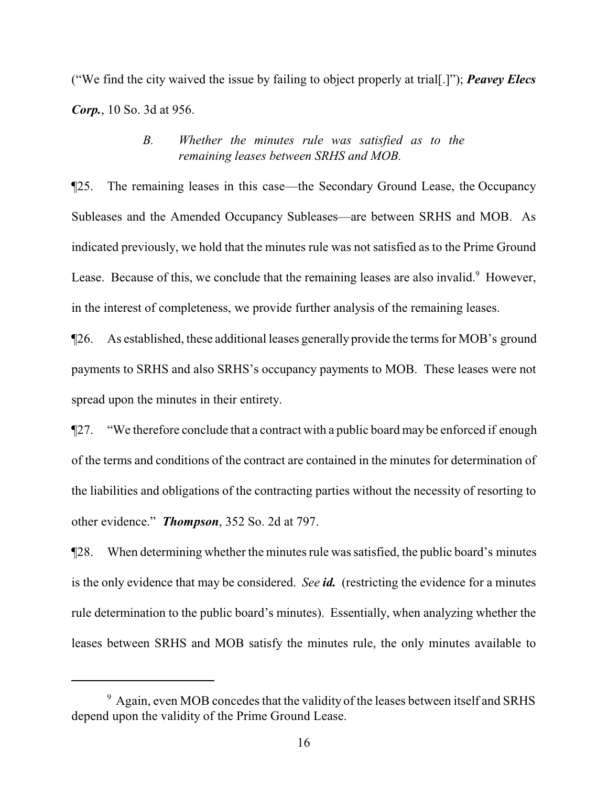("We find the city waived the issue by failing to object properly at trial[.]"); *Peavey Elecs Corp.*, 10 So. 3d at 956.

# *B. Whether the minutes rule was satisfied as to the remaining leases between SRHS and MOB.*

¶25. The remaining leases in this case—the Secondary Ground Lease, the Occupancy Subleases and the Amended Occupancy Subleases—are between SRHS and MOB. As indicated previously, we hold that the minutes rule was not satisfied as to the Prime Ground Lease. Because of this, we conclude that the remaining leases are also invalid.<sup>9</sup> However, in the interest of completeness, we provide further analysis of the remaining leases.

¶26. As established, these additional leases generally provide the terms for MOB's ground payments to SRHS and also SRHS's occupancy payments to MOB. These leases were not spread upon the minutes in their entirety.

¶27. "We therefore conclude that a contract with a public board may be enforced if enough of the terms and conditions of the contract are contained in the minutes for determination of the liabilities and obligations of the contracting parties without the necessity of resorting to other evidence." *Thompson*, 352 So. 2d at 797.

¶28. When determining whether the minutes rule was satisfied, the public board's minutes is the only evidence that may be considered. *See id.* (restricting the evidence for a minutes rule determination to the public board's minutes). Essentially, when analyzing whether the leases between SRHS and MOB satisfy the minutes rule, the only minutes available to

 $9$  Again, even MOB concedes that the validity of the leases between itself and SRHS depend upon the validity of the Prime Ground Lease.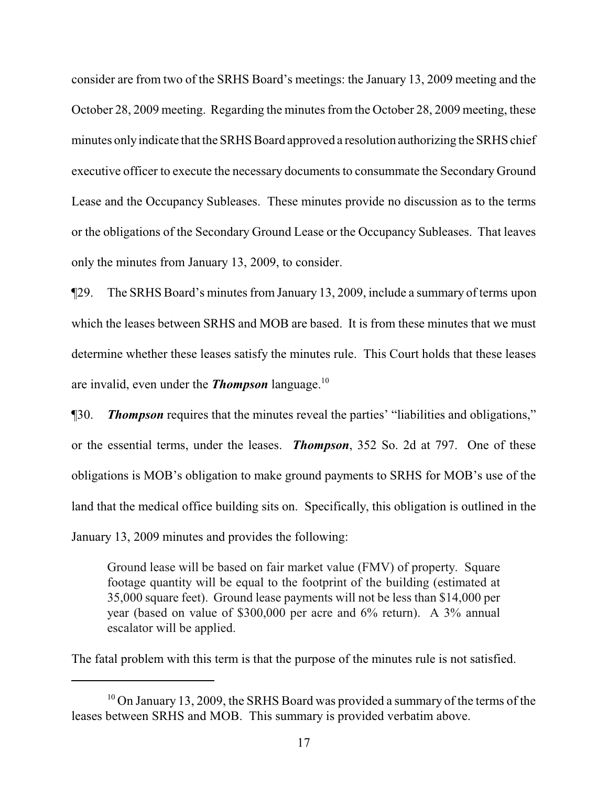consider are from two of the SRHS Board's meetings: the January 13, 2009 meeting and the October 28, 2009 meeting. Regarding the minutes from the October 28, 2009 meeting, these minutes only indicate that the SRHS Board approved a resolution authorizing the SRHS chief executive officer to execute the necessary documents to consummate the Secondary Ground Lease and the Occupancy Subleases. These minutes provide no discussion as to the terms or the obligations of the Secondary Ground Lease or the Occupancy Subleases. That leaves only the minutes from January 13, 2009, to consider.

¶29. The SRHS Board's minutes from January 13, 2009, include a summary of terms upon which the leases between SRHS and MOB are based. It is from these minutes that we must determine whether these leases satisfy the minutes rule. This Court holds that these leases are invalid, even under the *Thompson* language.<sup>10</sup>

¶30. *Thompson* requires that the minutes reveal the parties' "liabilities and obligations," or the essential terms, under the leases. *Thompson*, 352 So. 2d at 797. One of these obligations is MOB's obligation to make ground payments to SRHS for MOB's use of the land that the medical office building sits on. Specifically, this obligation is outlined in the January 13, 2009 minutes and provides the following:

Ground lease will be based on fair market value (FMV) of property. Square footage quantity will be equal to the footprint of the building (estimated at 35,000 square feet). Ground lease payments will not be less than \$14,000 per year (based on value of \$300,000 per acre and 6% return). A 3% annual escalator will be applied.

The fatal problem with this term is that the purpose of the minutes rule is not satisfied.

 $10$  On January 13, 2009, the SRHS Board was provided a summary of the terms of the leases between SRHS and MOB. This summary is provided verbatim above.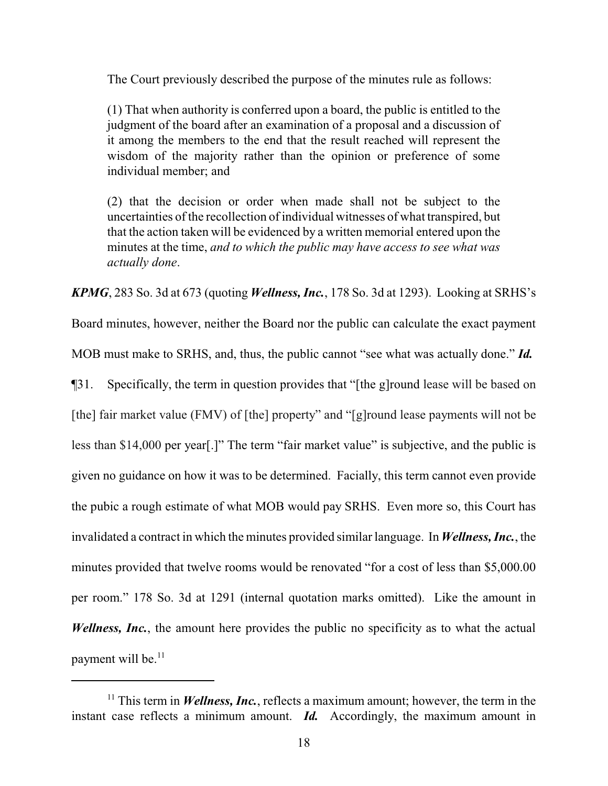The Court previously described the purpose of the minutes rule as follows:

(1) That when authority is conferred upon a board, the public is entitled to the judgment of the board after an examination of a proposal and a discussion of it among the members to the end that the result reached will represent the wisdom of the majority rather than the opinion or preference of some individual member; and

(2) that the decision or order when made shall not be subject to the uncertainties of the recollection of individual witnesses of what transpired, but that the action taken will be evidenced by a written memorial entered upon the minutes at the time, *and to which the public may have access to see what was actually done*.

*KPMG*, 283 So. 3d at 673 (quoting *Wellness, Inc.*, 178 So. 3d at 1293). Looking at SRHS's

Board minutes, however, neither the Board nor the public can calculate the exact payment

MOB must make to SRHS, and, thus, the public cannot "see what was actually done." *Id.*

¶31. Specifically, the term in question provides that "[the g]round lease will be based on

[the] fair market value (FMV) of [the] property" and "[g]round lease payments will not be

less than \$14,000 per year[.]" The term "fair market value" is subjective, and the public is

given no guidance on how it was to be determined. Facially, this term cannot even provide

the pubic a rough estimate of what MOB would pay SRHS. Even more so, this Court has

invalidated a contract in which the minutes provided similar language. In *Wellness, Inc.*, the

minutes provided that twelve rooms would be renovated "for a cost of less than \$5,000.00

per room." 178 So. 3d at 1291 (internal quotation marks omitted). Like the amount in *Wellness, Inc.*, the amount here provides the public no specificity as to what the actual payment will be.<sup>11</sup>

<sup>&</sup>lt;sup>11</sup> This term in *Wellness, Inc.*, reflects a maximum amount; however, the term in the instant case reflects a minimum amount. *Id.* Accordingly, the maximum amount in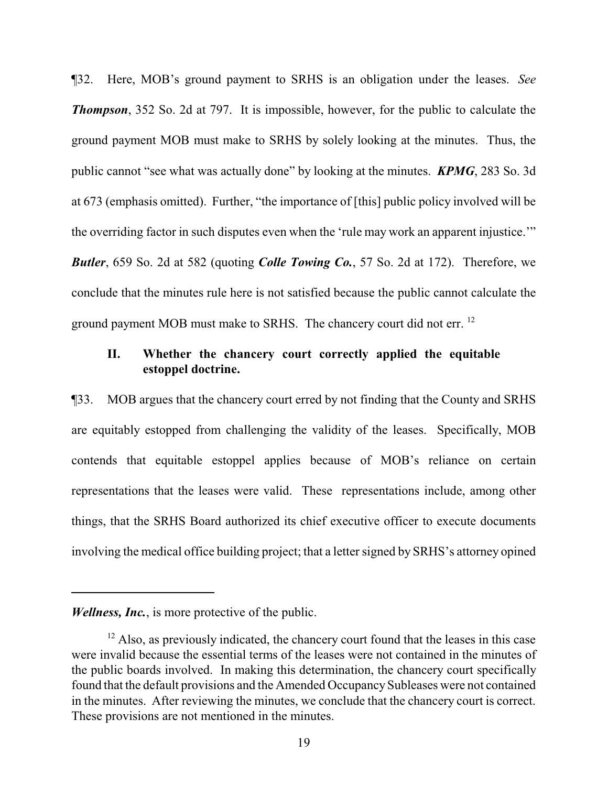¶32. Here, MOB's ground payment to SRHS is an obligation under the leases. *See Thompson*, 352 So. 2d at 797. It is impossible, however, for the public to calculate the ground payment MOB must make to SRHS by solely looking at the minutes. Thus, the public cannot "see what was actually done" by looking at the minutes. *KPMG*, 283 So. 3d at 673 (emphasis omitted). Further, "the importance of [this] public policy involved will be the overriding factor in such disputes even when the 'rule may work an apparent injustice.'" *Butler*, 659 So. 2d at 582 (quoting *Colle Towing Co.*, 57 So. 2d at 172). Therefore, we conclude that the minutes rule here is not satisfied because the public cannot calculate the ground payment MOB must make to SRHS. The chancery court did not err.<sup>12</sup>

# **II. Whether the chancery court correctly applied the equitable estoppel doctrine.**

¶33. MOB argues that the chancery court erred by not finding that the County and SRHS are equitably estopped from challenging the validity of the leases. Specifically, MOB contends that equitable estoppel applies because of MOB's reliance on certain representations that the leases were valid. These representations include, among other things, that the SRHS Board authorized its chief executive officer to execute documents involving the medical office building project; that a letter signed by SRHS's attorney opined

*Wellness, Inc.*, is more protective of the public.

 $12$  Also, as previously indicated, the chancery court found that the leases in this case were invalid because the essential terms of the leases were not contained in the minutes of the public boards involved. In making this determination, the chancery court specifically found that the default provisions and the Amended Occupancy Subleases were not contained in the minutes. After reviewing the minutes, we conclude that the chancery court is correct. These provisions are not mentioned in the minutes.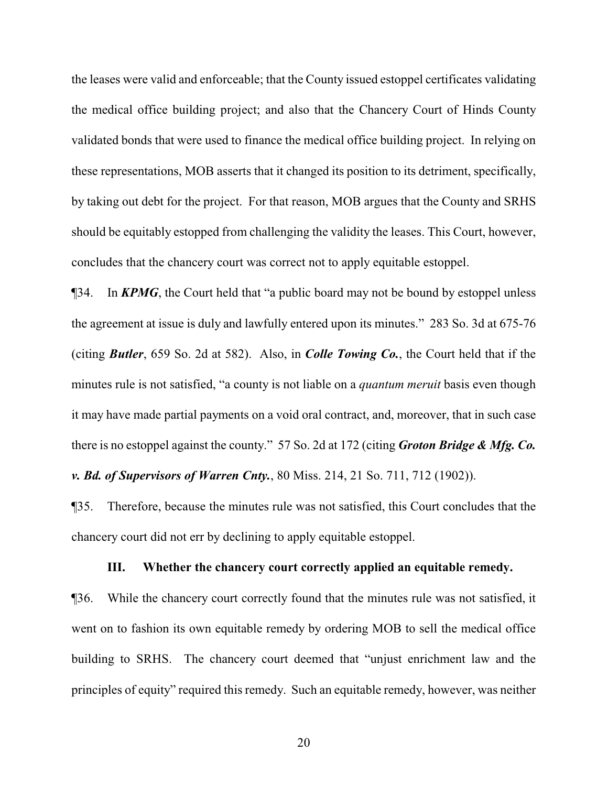the leases were valid and enforceable; that the County issued estoppel certificates validating the medical office building project; and also that the Chancery Court of Hinds County validated bonds that were used to finance the medical office building project. In relying on these representations, MOB asserts that it changed its position to its detriment, specifically, by taking out debt for the project. For that reason, MOB argues that the County and SRHS should be equitably estopped from challenging the validity the leases. This Court, however, concludes that the chancery court was correct not to apply equitable estoppel.

¶34. In *KPMG*, the Court held that "a public board may not be bound by estoppel unless the agreement at issue is duly and lawfully entered upon its minutes." 283 So. 3d at 675-76 (citing *Butler*, 659 So. 2d at 582). Also, in *Colle Towing Co.*, the Court held that if the minutes rule is not satisfied, "a county is not liable on a *quantum meruit* basis even though it may have made partial payments on a void oral contract, and, moreover, that in such case there is no estoppel against the county." 57 So. 2d at 172 (citing *Groton Bridge & Mfg. Co. v. Bd. of Supervisors of Warren Cnty.*, 80 Miss. 214, 21 So. 711, 712 (1902)).

¶35. Therefore, because the minutes rule was not satisfied, this Court concludes that the chancery court did not err by declining to apply equitable estoppel.

#### **III. Whether the chancery court correctly applied an equitable remedy.**

¶36. While the chancery court correctly found that the minutes rule was not satisfied, it went on to fashion its own equitable remedy by ordering MOB to sell the medical office building to SRHS. The chancery court deemed that "unjust enrichment law and the principles of equity" required this remedy. Such an equitable remedy, however, was neither

20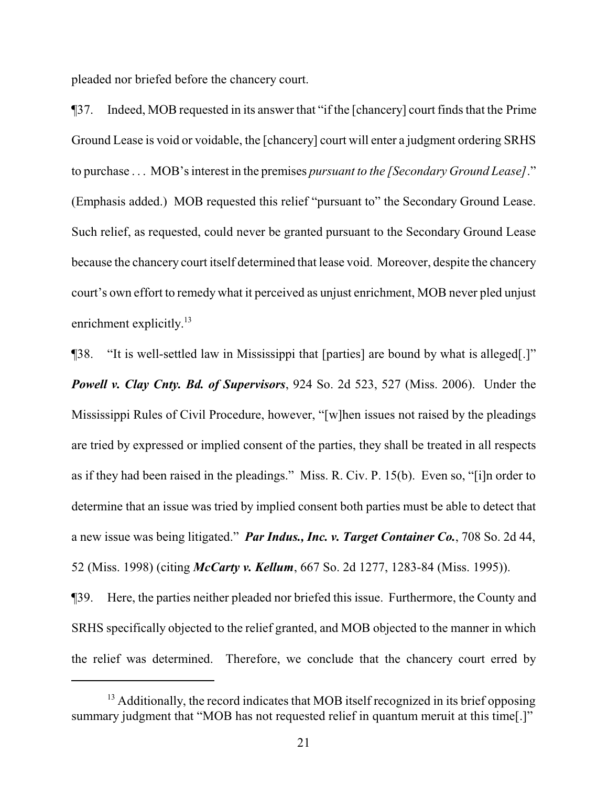pleaded nor briefed before the chancery court.

¶37. Indeed, MOB requested in its answer that "if the [chancery] court finds that the Prime Ground Lease is void or voidable, the [chancery] court will enter a judgment ordering SRHS to purchase . . . MOB's interest in the premises *pursuant to the [Secondary Ground Lease]*." (Emphasis added.) MOB requested this relief "pursuant to" the Secondary Ground Lease. Such relief, as requested, could never be granted pursuant to the Secondary Ground Lease because the chancery court itself determined that lease void. Moreover, despite the chancery court's own effort to remedy what it perceived as unjust enrichment, MOB never pled unjust enrichment explicitly.<sup>13</sup>

¶38. "It is well-settled law in Mississippi that [parties] are bound by what is alleged[.]" *Powell v. Clay Cnty. Bd. of Supervisors*, 924 So. 2d 523, 527 (Miss. 2006). Under the Mississippi Rules of Civil Procedure, however, "[w]hen issues not raised by the pleadings are tried by expressed or implied consent of the parties, they shall be treated in all respects as if they had been raised in the pleadings." Miss. R. Civ. P. 15(b). Even so, "[i]n order to determine that an issue was tried by implied consent both parties must be able to detect that a new issue was being litigated." *Par Indus., Inc. v. Target Container Co.*, 708 So. 2d 44, 52 (Miss. 1998) (citing *McCarty v. Kellum*, 667 So. 2d 1277, 1283-84 (Miss. 1995)).

¶39. Here, the parties neither pleaded nor briefed this issue. Furthermore, the County and SRHS specifically objected to the relief granted, and MOB objected to the manner in which the relief was determined. Therefore, we conclude that the chancery court erred by

 $13$  Additionally, the record indicates that MOB itself recognized in its brief opposing summary judgment that "MOB has not requested relief in quantum meruit at this time[.]"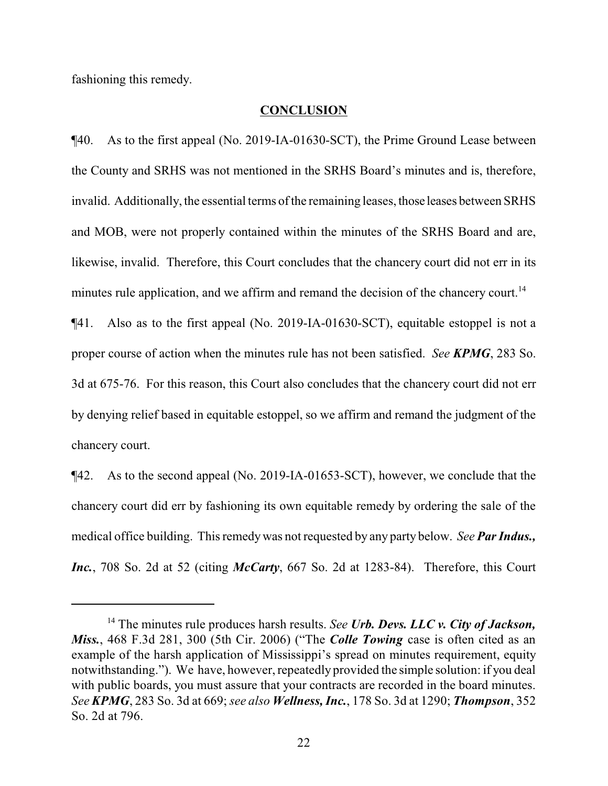fashioning this remedy.

#### **CONCLUSION**

¶40. As to the first appeal (No. 2019-IA-01630-SCT), the Prime Ground Lease between the County and SRHS was not mentioned in the SRHS Board's minutes and is, therefore, invalid. Additionally, the essential terms of the remaining leases, those leases between SRHS and MOB, were not properly contained within the minutes of the SRHS Board and are, likewise, invalid. Therefore, this Court concludes that the chancery court did not err in its minutes rule application, and we affirm and remand the decision of the chancery court.<sup>14</sup>

¶41. Also as to the first appeal (No. 2019-IA-01630-SCT), equitable estoppel is not a proper course of action when the minutes rule has not been satisfied. *See KPMG*, 283 So. 3d at 675-76. For this reason, this Court also concludes that the chancery court did not err by denying relief based in equitable estoppel, so we affirm and remand the judgment of the chancery court.

¶42. As to the second appeal (No. 2019-IA-01653-SCT), however, we conclude that the chancery court did err by fashioning its own equitable remedy by ordering the sale of the medical office building. This remedywas not requested by any party below. *See Par Indus., Inc.*, 708 So. 2d at 52 (citing *McCarty*, 667 So. 2d at 1283-84). Therefore, this Court

<sup>14</sup> The minutes rule produces harsh results. *See Urb. Devs. LLC v. City of Jackson, Miss.*, 468 F.3d 281, 300 (5th Cir. 2006) ("The *Colle Towing* case is often cited as an example of the harsh application of Mississippi's spread on minutes requirement, equity notwithstanding."). We have, however, repeatedly provided the simple solution: if you deal with public boards, you must assure that your contracts are recorded in the board minutes. *See KPMG*, 283 So. 3d at 669; *see also Wellness, Inc.*, 178 So. 3d at 1290; *Thompson*, 352 So. 2d at 796.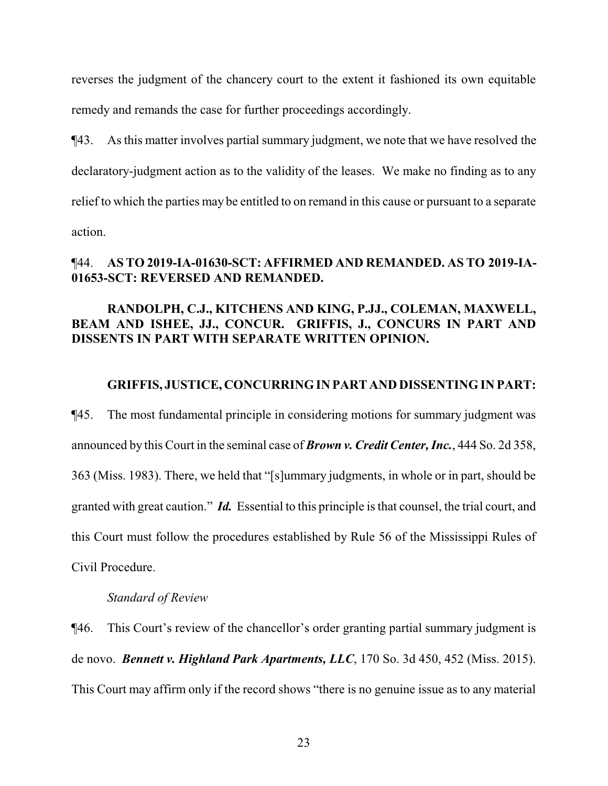reverses the judgment of the chancery court to the extent it fashioned its own equitable remedy and remands the case for further proceedings accordingly.

¶43. As this matter involves partial summary judgment, we note that we have resolved the declaratory-judgment action as to the validity of the leases. We make no finding as to any relief to which the parties may be entitled to on remand in this cause or pursuant to a separate action.

# ¶44. **AS TO 2019-IA-01630-SCT: AFFIRMED AND REMANDED. AS TO 2019-IA-01653-SCT: REVERSED AND REMANDED.**

# **RANDOLPH, C.J., KITCHENS AND KING, P.JJ., COLEMAN, MAXWELL, BEAM AND ISHEE, JJ., CONCUR. GRIFFIS, J., CONCURS IN PART AND DISSENTS IN PART WITH SEPARATE WRITTEN OPINION.**

#### **GRIFFIS, JUSTICE, CONCURRING IN PART AND DISSENTING IN PART:**

¶45. The most fundamental principle in considering motions for summary judgment was announced by this Court in the seminal case of *Brown v. Credit Center, Inc.*, 444 So. 2d 358, 363 (Miss. 1983). There, we held that "[s]ummary judgments, in whole or in part, should be granted with great caution." *Id.* Essential to this principle is that counsel, the trial court, and this Court must follow the procedures established by Rule 56 of the Mississippi Rules of Civil Procedure.

#### *Standard of Review*

¶46. This Court's review of the chancellor's order granting partial summary judgment is de novo. *Bennett v. Highland Park Apartments, LLC*, 170 So. 3d 450, 452 (Miss. 2015). This Court may affirm only if the record shows "there is no genuine issue as to any material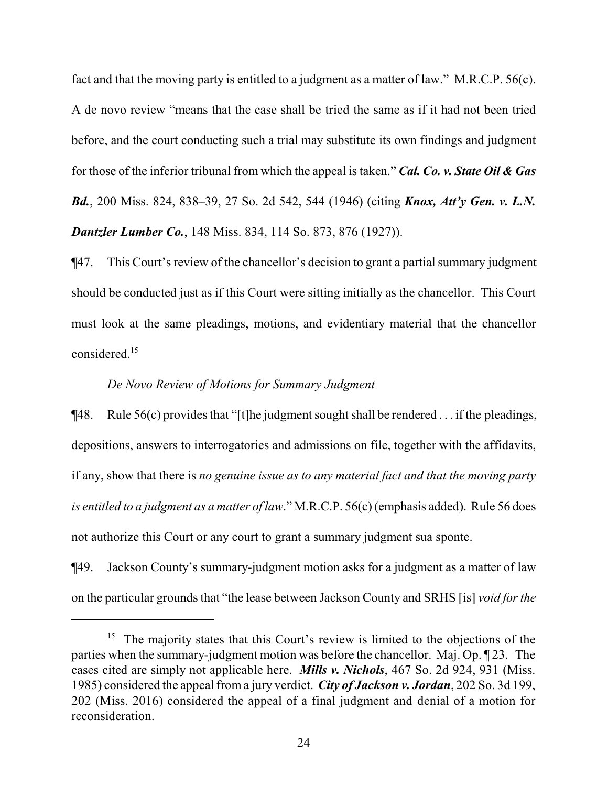fact and that the moving party is entitled to a judgment as a matter of law." M.R.C.P. 56(c). A de novo review "means that the case shall be tried the same as if it had not been tried before, and the court conducting such a trial may substitute its own findings and judgment for those of the inferior tribunal from which the appeal is taken." *Cal. Co. v. State Oil & Gas Bd.*, 200 Miss. 824, 838–39, 27 So. 2d 542, 544 (1946) (citing *Knox, Att'y Gen. v. L.N. Dantzler Lumber Co.*, 148 Miss. 834, 114 So. 873, 876 (1927)).

¶47. This Court's review of the chancellor's decision to grant a partial summary judgment should be conducted just as if this Court were sitting initially as the chancellor. This Court must look at the same pleadings, motions, and evidentiary material that the chancellor considered.<sup>15</sup>

#### *De Novo Review of Motions for Summary Judgment*

 $\P$ 48. Rule 56(c) provides that "[t]he judgment sought shall be rendered ... if the pleadings, depositions, answers to interrogatories and admissions on file, together with the affidavits, if any, show that there is *no genuine issue as to any material fact and that the moving party is entitled to a judgment as a matter of law*." M.R.C.P. 56(c) (emphasis added). Rule 56 does not authorize this Court or any court to grant a summary judgment sua sponte.

¶49. Jackson County's summary-judgment motion asks for a judgment as a matter of law on the particular grounds that "the lease between Jackson County and SRHS [is] *void for the*

<sup>&</sup>lt;sup>15</sup> The majority states that this Court's review is limited to the objections of the parties when the summary-judgment motion was before the chancellor. Maj. Op. ¶ 23. The cases cited are simply not applicable here. *Mills v. Nichols*, 467 So. 2d 924, 931 (Miss. 1985) considered the appeal froma jury verdict. *City of Jackson v. Jordan*, 202 So. 3d 199, 202 (Miss. 2016) considered the appeal of a final judgment and denial of a motion for reconsideration.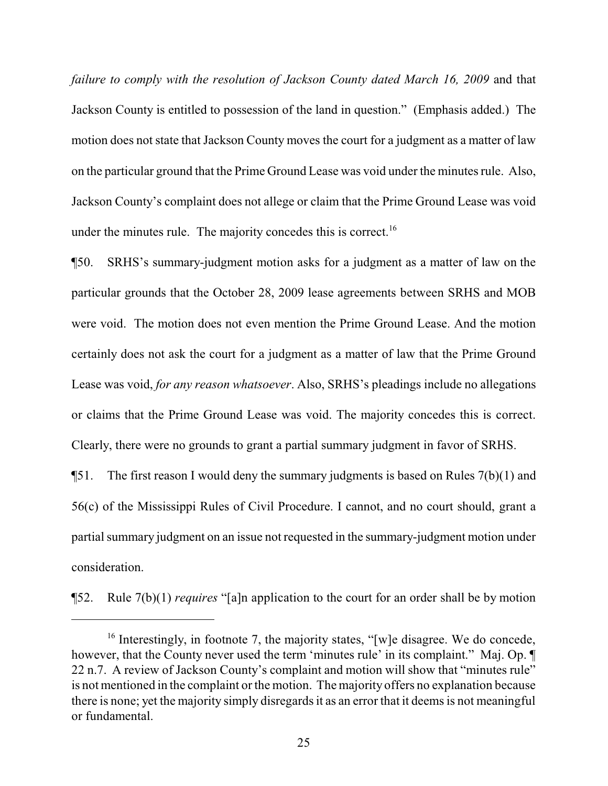*failure to comply with the resolution of Jackson County dated March 16, 2009 and that* Jackson County is entitled to possession of the land in question." (Emphasis added.) The motion does not state that Jackson County moves the court for a judgment as a matter of law on the particular ground that the Prime Ground Lease was void under the minutes rule. Also, Jackson County's complaint does not allege or claim that the Prime Ground Lease was void under the minutes rule. The majority concedes this is correct.<sup>16</sup>

¶50. SRHS's summary-judgment motion asks for a judgment as a matter of law on the particular grounds that the October 28, 2009 lease agreements between SRHS and MOB were void. The motion does not even mention the Prime Ground Lease. And the motion certainly does not ask the court for a judgment as a matter of law that the Prime Ground Lease was void, *for any reason whatsoever*. Also, SRHS's pleadings include no allegations or claims that the Prime Ground Lease was void. The majority concedes this is correct. Clearly, there were no grounds to grant a partial summary judgment in favor of SRHS.

**The first reason I would deny the summary judgments is based on Rules**  $7(b)(1)$  **and** 56(c) of the Mississippi Rules of Civil Procedure. I cannot, and no court should, grant a partial summary judgment on an issue not requested in the summary-judgment motion under consideration.

¶52. Rule 7(b)(1) *requires* "[a]n application to the court for an order shall be by motion

<sup>&</sup>lt;sup>16</sup> Interestingly, in footnote 7, the majority states, "[w]e disagree. We do concede, however, that the County never used the term 'minutes rule' in its complaint." Maj. Op.  $\P$ 22 n.7. A review of Jackson County's complaint and motion will show that "minutes rule" is not mentioned in the complaint or the motion. The majority offers no explanation because there is none; yet the majority simply disregards it as an error that it deems is not meaningful or fundamental.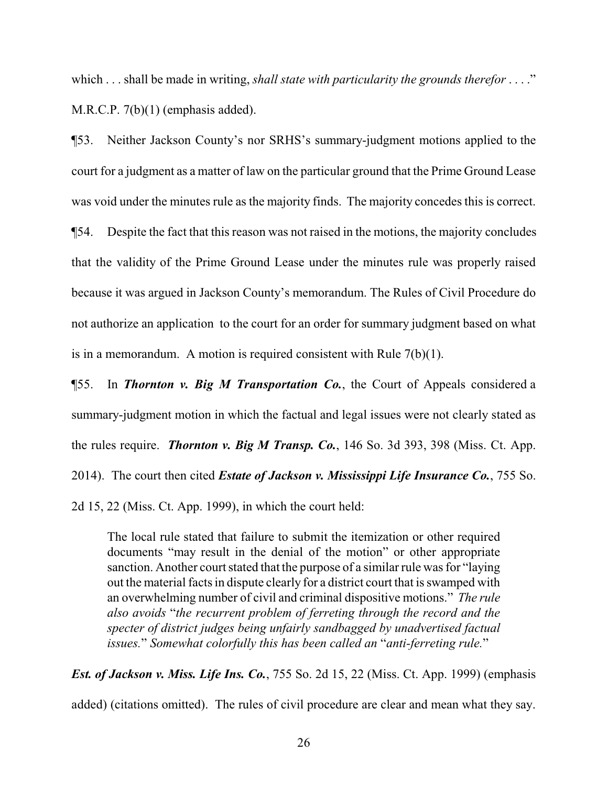which . . . shall be made in writing, *shall state with particularity the grounds therefor* . . . ." M.R.C.P. 7(b)(1) (emphasis added).

¶53. Neither Jackson County's nor SRHS's summary-judgment motions applied to the court for a judgment as a matter of law on the particular ground that the Prime Ground Lease was void under the minutes rule as the majority finds. The majority concedes this is correct.

¶54. Despite the fact that this reason was not raised in the motions, the majority concludes that the validity of the Prime Ground Lease under the minutes rule was properly raised because it was argued in Jackson County's memorandum. The Rules of Civil Procedure do not authorize an application to the court for an order for summary judgment based on what is in a memorandum. A motion is required consistent with Rule 7(b)(1).

¶55. In *Thornton v. Big M Transportation Co.*, the Court of Appeals considered a summary-judgment motion in which the factual and legal issues were not clearly stated as the rules require. *Thornton v. Big M Transp. Co.*, 146 So. 3d 393, 398 (Miss. Ct. App. 2014). The court then cited *Estate of Jackson v. Mississippi Life Insurance Co.*, 755 So. 2d 15, 22 (Miss. Ct. App. 1999), in which the court held:

The local rule stated that failure to submit the itemization or other required documents "may result in the denial of the motion" or other appropriate sanction. Another court stated that the purpose of a similar rule was for "laying out the material facts in dispute clearly for a district court that is swamped with an overwhelming number of civil and criminal dispositive motions." *The rule also avoids* "*the recurrent problem of ferreting through the record and the specter of district judges being unfairly sandbagged by unadvertised factual issues.*" *Somewhat colorfully this has been called an* "*anti-ferreting rule.*"

*Est. of Jackson v. Miss. Life Ins. Co.*, 755 So. 2d 15, 22 (Miss. Ct. App. 1999) (emphasis added) (citations omitted). The rules of civil procedure are clear and mean what they say.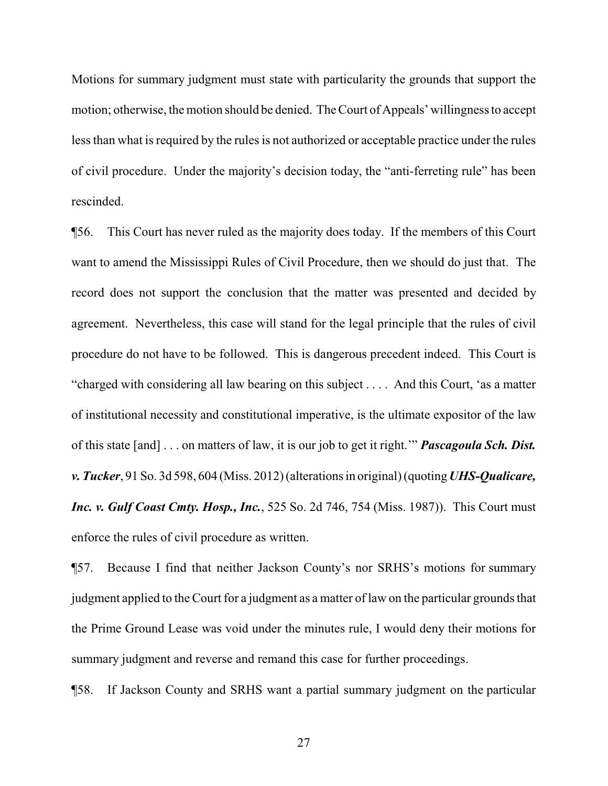Motions for summary judgment must state with particularity the grounds that support the motion; otherwise, the motion should be denied. The Court of Appeals' willingness to accept less than what is required by the rules is not authorized or acceptable practice under the rules of civil procedure. Under the majority's decision today, the "anti-ferreting rule" has been rescinded.

¶56. This Court has never ruled as the majority does today. If the members of this Court want to amend the Mississippi Rules of Civil Procedure, then we should do just that. The record does not support the conclusion that the matter was presented and decided by agreement. Nevertheless, this case will stand for the legal principle that the rules of civil procedure do not have to be followed. This is dangerous precedent indeed. This Court is "charged with considering all law bearing on this subject . . . . And this Court, 'as a matter of institutional necessity and constitutional imperative, is the ultimate expositor of the law of this state [and] . . . on matters of law, it is our job to get it right.'" *Pascagoula Sch. Dist. v. Tucker*, 91 So. 3d 598, 604 (Miss. 2012) (alterations in original) (quoting*UHS-Qualicare, Inc. v. Gulf Coast Cmty. Hosp., Inc.*, 525 So. 2d 746, 754 (Miss. 1987)). This Court must enforce the rules of civil procedure as written.

¶57. Because I find that neither Jackson County's nor SRHS's motions for summary judgment applied to the Court for a judgment as a matter of law on the particular grounds that the Prime Ground Lease was void under the minutes rule, I would deny their motions for summary judgment and reverse and remand this case for further proceedings.

¶58. If Jackson County and SRHS want a partial summary judgment on the particular

27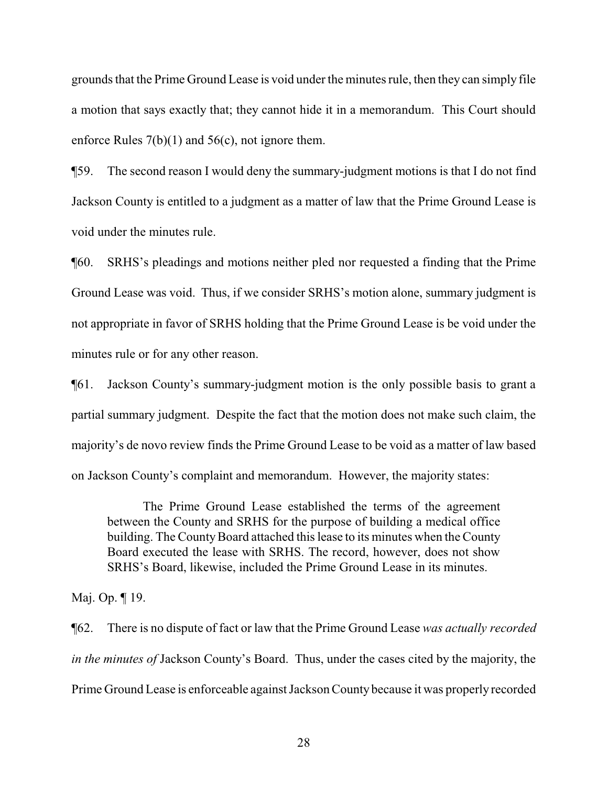grounds that the Prime Ground Lease is void under the minutes rule, then they can simply file a motion that says exactly that; they cannot hide it in a memorandum. This Court should enforce Rules 7(b)(1) and 56(c), not ignore them.

¶59. The second reason I would deny the summary-judgment motions is that I do not find Jackson County is entitled to a judgment as a matter of law that the Prime Ground Lease is void under the minutes rule.

¶60. SRHS's pleadings and motions neither pled nor requested a finding that the Prime Ground Lease was void. Thus, if we consider SRHS's motion alone, summary judgment is not appropriate in favor of SRHS holding that the Prime Ground Lease is be void under the minutes rule or for any other reason.

¶61. Jackson County's summary-judgment motion is the only possible basis to grant a partial summary judgment. Despite the fact that the motion does not make such claim, the majority's de novo review finds the Prime Ground Lease to be void as a matter of law based on Jackson County's complaint and memorandum. However, the majority states:

The Prime Ground Lease established the terms of the agreement between the County and SRHS for the purpose of building a medical office building. The County Board attached this lease to its minutes when the County Board executed the lease with SRHS. The record, however, does not show SRHS's Board, likewise, included the Prime Ground Lease in its minutes.

Maj. Op. ¶ 19.

¶62. There is no dispute of fact or law that the Prime Ground Lease *was actually recorded in the minutes of* Jackson County's Board. Thus, under the cases cited by the majority, the Prime Ground Lease is enforceable against Jackson County because it was properly recorded

28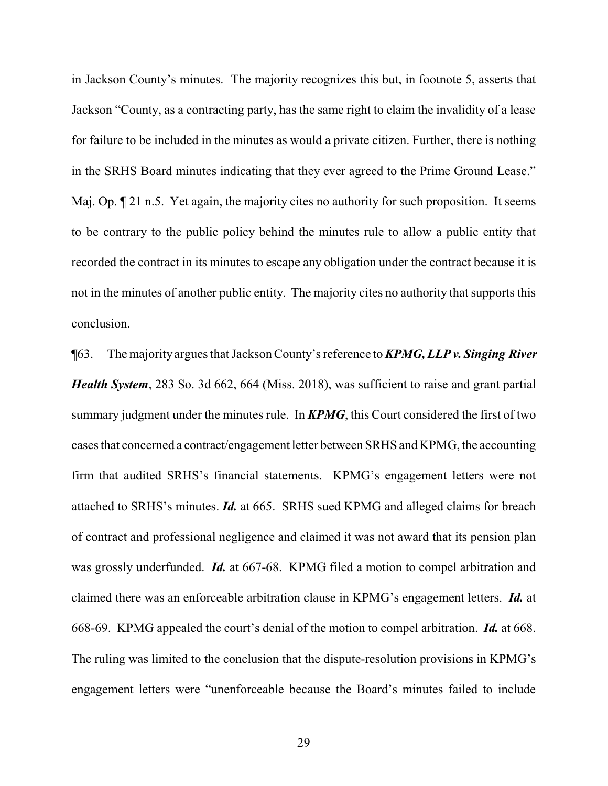in Jackson County's minutes. The majority recognizes this but, in footnote 5, asserts that Jackson "County, as a contracting party, has the same right to claim the invalidity of a lease for failure to be included in the minutes as would a private citizen. Further, there is nothing in the SRHS Board minutes indicating that they ever agreed to the Prime Ground Lease." Maj. Op.  $\P$  21 n.5. Yet again, the majority cites no authority for such proposition. It seems to be contrary to the public policy behind the minutes rule to allow a public entity that recorded the contract in its minutes to escape any obligation under the contract because it is not in the minutes of another public entity. The majority cites no authority that supports this conclusion.

¶63. The majority argues that Jackson County's reference to *KPMG, LLP v. Singing River Health System*, 283 So. 3d 662, 664 (Miss. 2018), was sufficient to raise and grant partial summary judgment under the minutes rule. In *KPMG*, this Court considered the first of two cases that concerned a contract/engagement letter between SRHS and KPMG, the accounting firm that audited SRHS's financial statements. KPMG's engagement letters were not attached to SRHS's minutes. *Id.* at 665. SRHS sued KPMG and alleged claims for breach of contract and professional negligence and claimed it was not award that its pension plan was grossly underfunded. *Id.* at 667-68. KPMG filed a motion to compel arbitration and claimed there was an enforceable arbitration clause in KPMG's engagement letters. *Id.* at 668-69. KPMG appealed the court's denial of the motion to compel arbitration. *Id.* at 668. The ruling was limited to the conclusion that the dispute-resolution provisions in KPMG's engagement letters were "unenforceable because the Board's minutes failed to include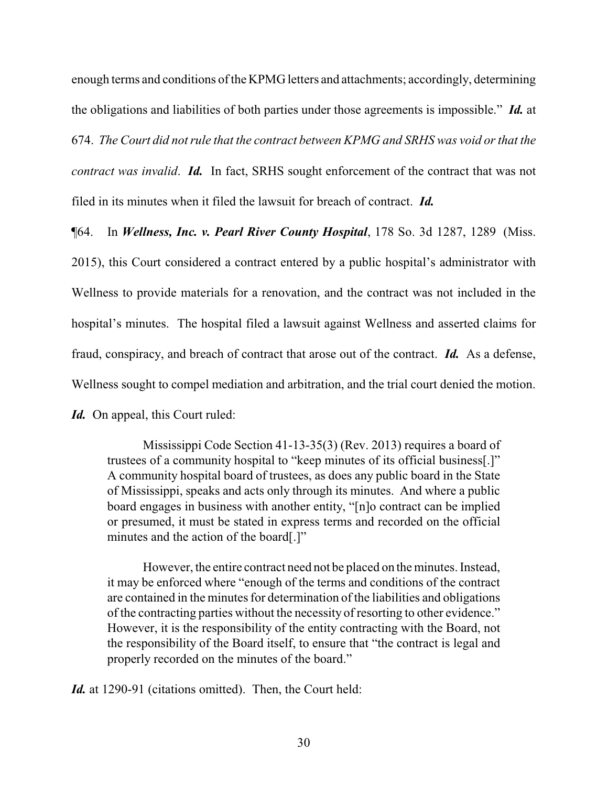enough terms and conditions of the KPMG letters and attachments; accordingly, determining the obligations and liabilities of both parties under those agreements is impossible." *Id.* at 674. *The Court did not rule that the contract between KPMG and SRHS was void or that the contract was invalid*. *Id.* In fact, SRHS sought enforcement of the contract that was not filed in its minutes when it filed the lawsuit for breach of contract. *Id.*

¶64. In *Wellness, Inc. v. Pearl River County Hospital*, 178 So. 3d 1287, 1289 (Miss. 2015), this Court considered a contract entered by a public hospital's administrator with Wellness to provide materials for a renovation, and the contract was not included in the hospital's minutes. The hospital filed a lawsuit against Wellness and asserted claims for fraud, conspiracy, and breach of contract that arose out of the contract. *Id.* As a defense, Wellness sought to compel mediation and arbitration, and the trial court denied the motion.

*Id.* On appeal, this Court ruled:

Mississippi Code Section 41-13-35(3) (Rev. 2013) requires a board of trustees of a community hospital to "keep minutes of its official business[.]" A community hospital board of trustees, as does any public board in the State of Mississippi, speaks and acts only through its minutes. And where a public board engages in business with another entity, "[n]o contract can be implied or presumed, it must be stated in express terms and recorded on the official minutes and the action of the board[.]"

However, the entire contract need not be placed on the minutes. Instead, it may be enforced where "enough of the terms and conditions of the contract are contained in the minutes for determination of the liabilities and obligations of the contracting parties without the necessity of resorting to other evidence." However, it is the responsibility of the entity contracting with the Board, not the responsibility of the Board itself, to ensure that "the contract is legal and properly recorded on the minutes of the board."

*Id.* at 1290-91 (citations omitted). Then, the Court held: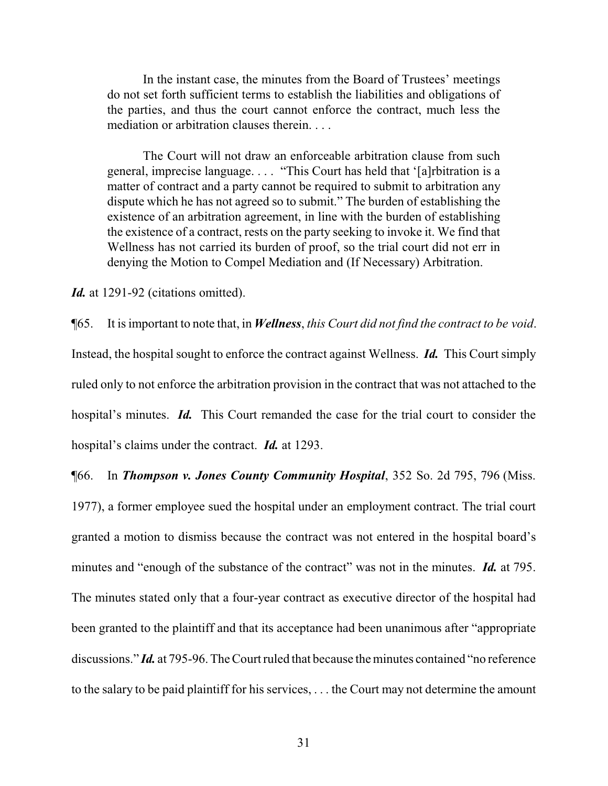In the instant case, the minutes from the Board of Trustees' meetings do not set forth sufficient terms to establish the liabilities and obligations of the parties, and thus the court cannot enforce the contract, much less the mediation or arbitration clauses therein. . . .

The Court will not draw an enforceable arbitration clause from such general, imprecise language. . . . "This Court has held that '[a]rbitration is a matter of contract and a party cannot be required to submit to arbitration any dispute which he has not agreed so to submit." The burden of establishing the existence of an arbitration agreement, in line with the burden of establishing the existence of a contract, rests on the party seeking to invoke it. We find that Wellness has not carried its burden of proof, so the trial court did not err in denying the Motion to Compel Mediation and (If Necessary) Arbitration.

Id. at 1291-92 (citations omitted).

¶65. It is important to note that, in *Wellness*, *this Court did not find the contract to be void*. Instead, the hospital sought to enforce the contract against Wellness. *Id.* This Court simply ruled only to not enforce the arbitration provision in the contract that was not attached to the hospital's minutes. *Id.* This Court remanded the case for the trial court to consider the hospital's claims under the contract. *Id.* at 1293.

¶66. In *Thompson v. Jones County Community Hospital*, 352 So. 2d 795, 796 (Miss. 1977), a former employee sued the hospital under an employment contract. The trial court granted a motion to dismiss because the contract was not entered in the hospital board's minutes and "enough of the substance of the contract" was not in the minutes. *Id.* at 795. The minutes stated only that a four-year contract as executive director of the hospital had been granted to the plaintiff and that its acceptance had been unanimous after "appropriate discussions." *Id.* at 795-96. The Court ruled that because the minutes contained "no reference to the salary to be paid plaintiff for his services, . . . the Court may not determine the amount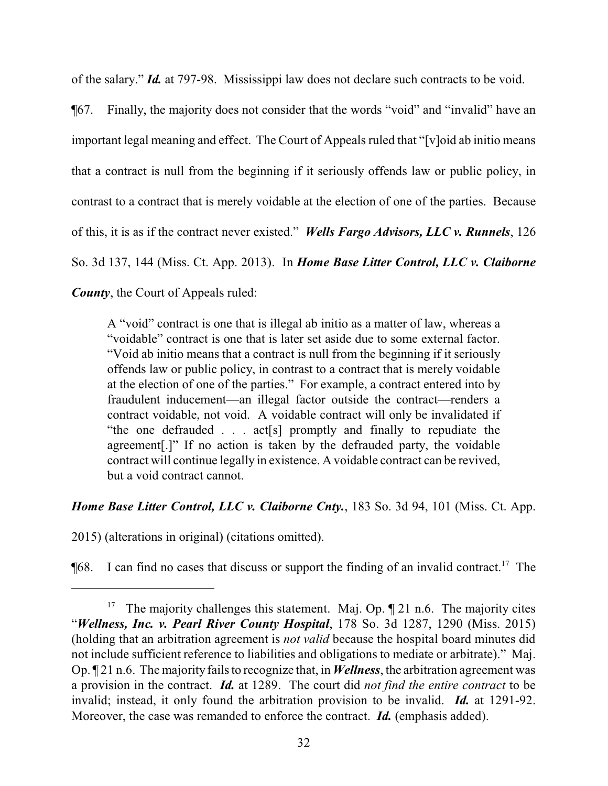of the salary." *Id.* at 797-98. Mississippi law does not declare such contracts to be void.

¶67. Finally, the majority does not consider that the words "void" and "invalid" have an important legal meaning and effect. The Court of Appeals ruled that "[v]oid ab initio means that a contract is null from the beginning if it seriously offends law or public policy, in contrast to a contract that is merely voidable at the election of one of the parties. Because of this, it is as if the contract never existed." *Wells Fargo Advisors, LLC v. Runnels*, 126 So. 3d 137, 144 (Miss. Ct. App. 2013). In *Home Base Litter Control, LLC v. Claiborne County*, the Court of Appeals ruled:

A "void" contract is one that is illegal ab initio as a matter of law, whereas a "voidable" contract is one that is later set aside due to some external factor. "Void ab initio means that a contract is null from the beginning if it seriously offends law or public policy, in contrast to a contract that is merely voidable at the election of one of the parties." For example, a contract entered into by fraudulent inducement—an illegal factor outside the contract—renders a contract voidable, not void. A voidable contract will only be invalidated if "the one defrauded . . . act[s] promptly and finally to repudiate the agreement[.]" If no action is taken by the defrauded party, the voidable contract will continue legally in existence. A voidable contract can be revived, but a void contract cannot.

# *Home Base Litter Control, LLC v. Claiborne Cnty.*, 183 So. 3d 94, 101 (Miss. Ct. App.

2015) (alterations in original) (citations omitted).

 $\P$ 68. I can find no cases that discuss or support the finding of an invalid contract.<sup>17</sup> The

<sup>&</sup>lt;sup>17</sup> The majority challenges this statement. Maj. Op.  $\P$  21 n.6. The majority cites "*Wellness, Inc. v. Pearl River County Hospital*, 178 So. 3d 1287, 1290 (Miss. 2015) (holding that an arbitration agreement is *not valid* because the hospital board minutes did not include sufficient reference to liabilities and obligations to mediate or arbitrate)." Maj. Op. ¶ 21 n.6. The majority fails to recognize that, in *Wellness*, the arbitration agreement was a provision in the contract. *Id.* at 1289. The court did *not find the entire contract* to be invalid; instead, it only found the arbitration provision to be invalid. *Id.* at 1291-92. Moreover, the case was remanded to enforce the contract. *Id.* (emphasis added).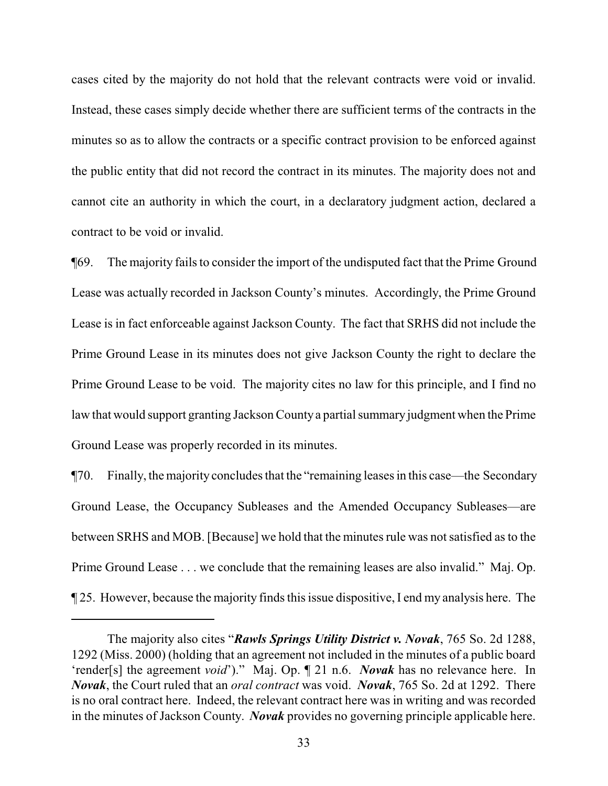cases cited by the majority do not hold that the relevant contracts were void or invalid. Instead, these cases simply decide whether there are sufficient terms of the contracts in the minutes so as to allow the contracts or a specific contract provision to be enforced against the public entity that did not record the contract in its minutes. The majority does not and cannot cite an authority in which the court, in a declaratory judgment action, declared a contract to be void or invalid.

¶69. The majority fails to consider the import of the undisputed fact that the Prime Ground Lease was actually recorded in Jackson County's minutes. Accordingly, the Prime Ground Lease is in fact enforceable against Jackson County. The fact that SRHS did not include the Prime Ground Lease in its minutes does not give Jackson County the right to declare the Prime Ground Lease to be void. The majority cites no law for this principle, and I find no law that would support granting Jackson Countya partial summary judgment when the Prime Ground Lease was properly recorded in its minutes.

¶70. Finally, the majority concludes that the "remaining leases in this case—the Secondary Ground Lease, the Occupancy Subleases and the Amended Occupancy Subleases—are between SRHS and MOB. [Because] we hold that the minutes rule was not satisfied as to the Prime Ground Lease . . . we conclude that the remaining leases are also invalid." Maj. Op. ¶ 25. However, because the majority finds this issue dispositive, I end my analysis here. The

The majority also cites "*Rawls Springs Utility District v. Novak*, 765 So. 2d 1288, 1292 (Miss. 2000) (holding that an agreement not included in the minutes of a public board 'render[s] the agreement *void*')." Maj. Op. ¶ 21 n.6. *Novak* has no relevance here. In *Novak*, the Court ruled that an *oral contract* was void. *Novak*, 765 So. 2d at 1292. There is no oral contract here. Indeed, the relevant contract here was in writing and was recorded in the minutes of Jackson County. *Novak* provides no governing principle applicable here.